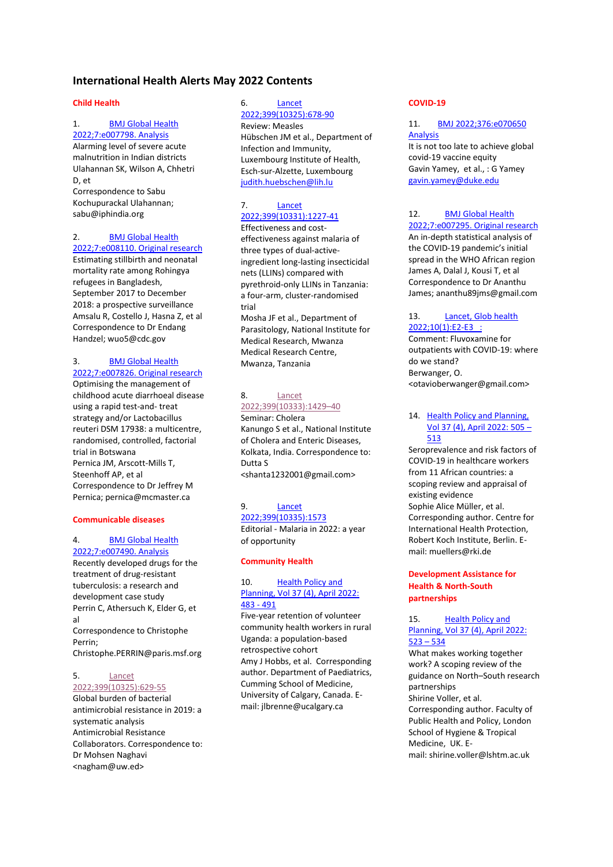# **International Health Alerts May 2022 Contents**

#### **Child Health**

# 1. [BMJ Global Health](#page-3-0)

[2022;7:e007798. Analysis](#page-3-0)  Alarming level of severe acute malnutrition in Indian districts Ulahannan SK, Wilson A, Chhetri D, et Correspondence to Sabu Kochupurackal Ulahannan; sabu@iphindia.org

# 2. [BMJ Global Health](#page-3-1)

[2022;7:e008110. Original research](#page-3-1)  Estimating stillbirth and neonatal mortality rate among Rohingya refugees in Bangladesh, September 2017 to December 2018: a prospective surveillance Amsalu R, Costello J, Hasna Z, et al Correspondence to Dr Endang Handzel; wuo5@cdc.gov

#### 3. [BMJ Global Health](#page-4-0)  [2022;7:e007826. Original research](#page-4-0)

Optimising the management of childhood acute diarrhoeal disease using a rapid test-and- treat strategy and/or Lactobacillus reuteri DSM 17938: a multicentre, randomised, controlled, factorial trial in Botswana Pernica JM, Arscott-Mills T, Steenhoff AP, et al Correspondence to Dr Jeffrey M Pernica; pernica@mcmaster.ca

### **Communicable diseases**

#### 4. [BMJ Global Health](#page-4-1)  [2022;7:e007490. Analysis](#page-4-1)

Recently developed drugs for the treatment of drug-resistant tuberculosis: a research and development case study Perrin C, Athersuch K, Elder G, et al Correspondence to Christophe Perrin; Christophe.PERRIN@paris.msf.org

#### 5. [Lancet](#page-5-0)  [2022;399\(10325\):629-55](#page-5-0)

Global burden of bacterial antimicrobial resistance in 2019: a systematic analysis Antimicrobial Resistance Collaborators. Correspondence to: Dr Mohsen Naghavi <nagham@uw.ed>

#### 6. [Lancet](#page-6-0)  [2022;399\(10325\):678-90](#page-6-0)

Review: Measles Hübschen JM et al., Department of Infection and Immunity, Luxembourg Institute of Health, Esch-sur-Alzette, Luxembourg [judith.huebschen@lih.lu](mailto:judith.huebschen@lih.lu)

# 7. [Lancet](#page-6-1)  [2022;399\(10331\):1227-41](#page-6-1)

Effectiveness and costeffectiveness against malaria of three types of dual-activeingredient long-lasting insecticidal nets (LLINs) compared with pyrethroid-only LLINs in Tanzania: a four-arm, cluster-randomised trial Mosha JF et al., Department of Parasitology, National Institute for Medical Research, Mwanza Medical Research Centre, Mwanza, Tanzania

### 8. [Lancet](#page-8-0)  [2022;399\(10333\):1429](#page-8-0)–40

Seminar: Cholera Kanungo S et al., National Institute of Cholera and Enteric Diseases, Kolkata, India. Correspondence to: Dutta S [<shanta1232001@gmail.com>](mailto:shanta1232001@gmail.com)

# 9. [Lancet](#page-8-1)

[2022;399\(10335\):1573](#page-8-1)  Editorial - Malaria in 2022: a year of opportunity

#### **Community Health**

### 10. [Health Policy and](#page-9-0)  [Planning, Vol 37 \(4\), April 2022:](#page-9-0)  [483 -](#page-9-0) 491

Five-year retention of volunteer community health workers in rural Uganda: a population-based retrospective cohort [Amy J Hobbs,](javascript:;) et al. Corresponding author. Department of Paediatrics, Cumming School of Medicine, University of Calgary, Canada. Email: [jlbrenne@ucalgary.ca](mailto:jlbrenne@ucalgary.ca)

#### **COVID-19**

#### 11. [BMJ 2022;376:e070650](#page-10-0)  [Analysis](#page-10-0)

It is not too late to achieve global covid-19 vaccine equity Gavin Yamey, et al., : G Yamey [gavin.yamey@duke.edu](mailto:gavin.yamey@duke.edu)

# 12. [BMJ Global Health](#page-10-1)

[2022;7:e007295. Original research](#page-10-1)  An in-depth statistical analysis of the COVID-19 pandemic's initial spread in the WHO African region James A, Dalal J, Kousi T, et al Correspondence to Dr Ananthu James; ananthu89jms@gmail.com

#### 13. [Lancet, Glob health](#page-11-0)  [2022;10\(1\):E2-E3 :](#page-11-0)

Comment: Fluvoxamine for outpatients with COVID-19: where do we stand? Berwanger, O. <otavioberwanger@gmail.com>

#### 14. [Health Policy and Planning,](#page-12-0)  [Vol 37 \(4\), April 2022: 505](#page-12-0) – [513](#page-12-0)

Seroprevalence and risk factors of COVID-19 in healthcare workers from 11 African countries: a scoping review and appraisal of existing evidence [Sophie Alice Müller,](javascript:;) et al. Corresponding author. Centre for International Health Protection, Robert Koch Institute, Berlin. Email: [muellers@rki.de](mailto:muellers@rki.de)

#### **Development Assistance for Health & North-South partnerships**

15. [Health Policy and](#page-13-0)  [Planning, Vol 37 \(4\), April 2022:](#page-13-0)  [523](#page-13-0) – 534

What makes working together work? A scoping review of the guidance on North–South research partnerships [Shirine Voller,](javascript:;) et al. Corresponding author. Faculty of Public Health and Policy, London School of Hygiene & Tropical Medicine, UK. Email: [shirine.voller@lshtm.ac.uk](mailto:shirine.voller@lshtm.ac.uk)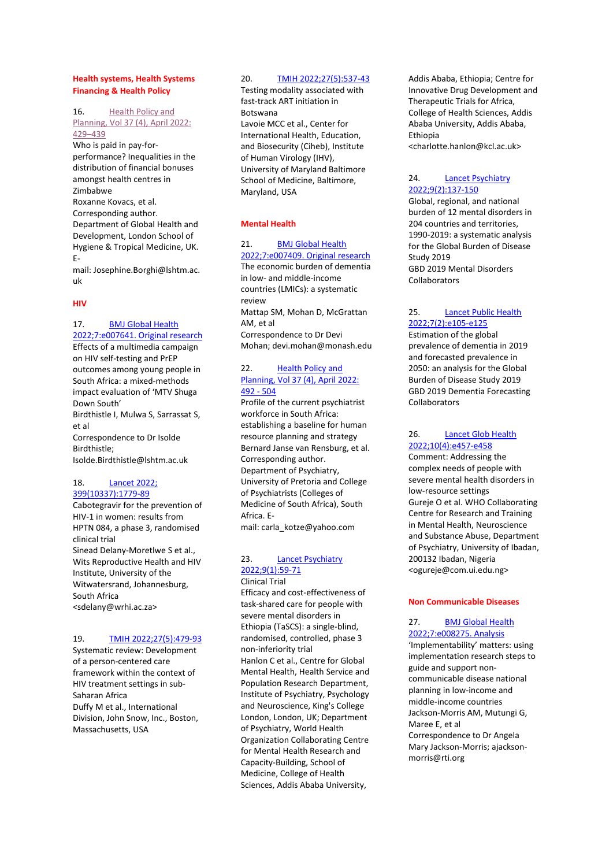### **Health systems, Health Systems Financing & Health Policy**

#### 16. [Health Policy and](#page-13-1)

[Planning, Vol 37 \(4\), April 2022:](#page-13-1)  [429](#page-13-1)–439 Who is paid in pay-forperformance? Inequalities in the distribution of financial bonuses amongst health centres in Zimbabwe [Roxanne Kovacs,](javascript:;) et al. Corresponding author. Department of Global Health and Development, London School of Hygiene & Tropical Medicine, UK. E-

mail: [Josephine.Borghi@lshtm.ac.](mailto:Josephine.Borghi@lshtm.ac.uk) [uk](mailto:Josephine.Borghi@lshtm.ac.uk)

#### **HIV**

#### 17. **BMJ Global Health** [2022;7:e007641. Original research](#page-14-0)

Effects of a multimedia campaign on HIV self-testing and PrEP outcomes among young people in South Africa: a mixed-methods impact evaluation of 'MTV Shuga Down South' Birdthistle I, Mulwa S, Sarrassat S, et al Correspondence to Dr Isolde Birdthistle; Isolde.Birdthistle@lshtm.ac.uk

#### 18. [Lancet 2022;](#page-15-0)  [399\(10337\):1779-89](#page-15-0)

Cabotegravir for the prevention of HIV-1 in women: results from HPTN 084, a phase 3, randomised clinical trial Sinead Delany-Moretlwe S et al., Wits Reproductive Health and HIV Institute, University of the Witwatersrand, Johannesburg, South Africa <sdelany@wrhi.ac.za>

#### 19. [TMIH 2022;27\(5\):479-93](#page-16-0)

Systematic review: Development of a person-centered care framework within the context of HIV treatment settings in sub-Saharan Africa Duffy M et al., International Division, John Snow, Inc., Boston, Massachusetts, USA

#### 20. [TMIH 2022;27\(5\):537-43](#page-16-1)

Testing modality associated with fast-track ART initiation in Botswana Lavoie MCC et al., Center for International Health, Education, and Biosecurity (Ciheb), Institute of Human Virology (IHV), University of Maryland Baltimore School of Medicine, Baltimore, Maryland, USA

#### **Mental Health**

21. [BMJ Global Health](#page-17-0) [2022;7:e007409. Original research](#page-17-0)  The economic burden of dementia in low- and middle-income countries (LMICs): a systematic review Mattap SM, Mohan D, McGrattan AM, et al Correspondence to Dr Devi Mohan; devi.mohan@monash.edu

### 22. [Health Policy and](#page-17-1)  [Planning, Vol 37 \(4\), April 2022:](#page-17-1)  [492 -](#page-17-1) 504

Profile of the current psychiatrist workforce in South Africa: establishing a baseline for human resource planning and strategy [Bernard Janse van Rensburg,](javascript:;) et al. Corresponding author. Department of Psychiatry, University of Pretoria and College of Psychiatrists (Colleges of Medicine of South Africa), South Africa. Email: [carla\\_kotze@yahoo.com](mailto:carla_kotze@yahoo.com)

### 23. [Lancet Psychiatry](#page-18-0)  [2022;9\(1\):59-71](#page-18-0)

Clinical Trial Efficacy and cost-effectiveness of task-shared care for people with severe mental disorders in Ethiopia (TaSCS): a single-blind, randomised, controlled, phase 3 non-inferiority trial Hanlon C et al., Centre for Global Mental Health, Health Service and Population Research Department, Institute of Psychiatry, Psychology and Neuroscience, King's College London, London, UK; Department of Psychiatry, World Health Organization Collaborating Centre for Mental Health Research and Capacity-Building, School of Medicine, College of Health Sciences, Addis Ababa University,

Addis Ababa, Ethiopia; Centre for Innovative Drug Development and Therapeutic Trials for Africa, College of Health Sciences, Addis Ababa University, Addis Ababa, Ethiopia [<charlotte.hanlon@kcl.ac.uk>](mailto:charlotte.hanlon@kcl.ac.uk)

### 24. [Lancet Psychiatry](#page-19-0)  [2022;9\(2\):137-150](#page-19-0)

Global, regional, and national burden of 12 mental disorders in 204 countries and territories, 1990-2019: a systematic analysis for the Global Burden of Disease Study 2019 GBD 2019 Mental Disorders Collaborators

### 25. [Lancet Public Health](#page-20-0)  [2022;7\(2\):e105-e125](#page-20-0)

Estimation of the global prevalence of dementia in 2019 and forecasted prevalence in 2050: an analysis for the Global Burden of Disease Study 2019 GBD 2019 Dementia Forecasting Collaborators

#### 26. Lancet Glob Health [2022;10\(4\):e457-e458](#page-21-0)

Comment: Addressing the complex needs of people with severe mental health disorders in low-resource settings Gureje O et al. WHO Collaborating Centre for Research and Training in Mental Health, Neuroscience and Substance Abuse, Department of Psychiatry, University of Ibadan, 200132 Ibadan, Nigeria <ogureje@com.ui.edu.ng>

#### **Non Communicable Diseases**

# 27. [BMJ Global Health](#page-22-0)  [2022;7:e008275. Analysis](#page-22-0)

'Implementability' matters: using implementation research steps to guide and support noncommunicable disease national planning in low-income and middle-income countries Jackson-Morris AM, Mutungi G, Maree E, et al Correspondence to Dr Angela Mary Jackson-Morris; ajacksonmorris@rti.org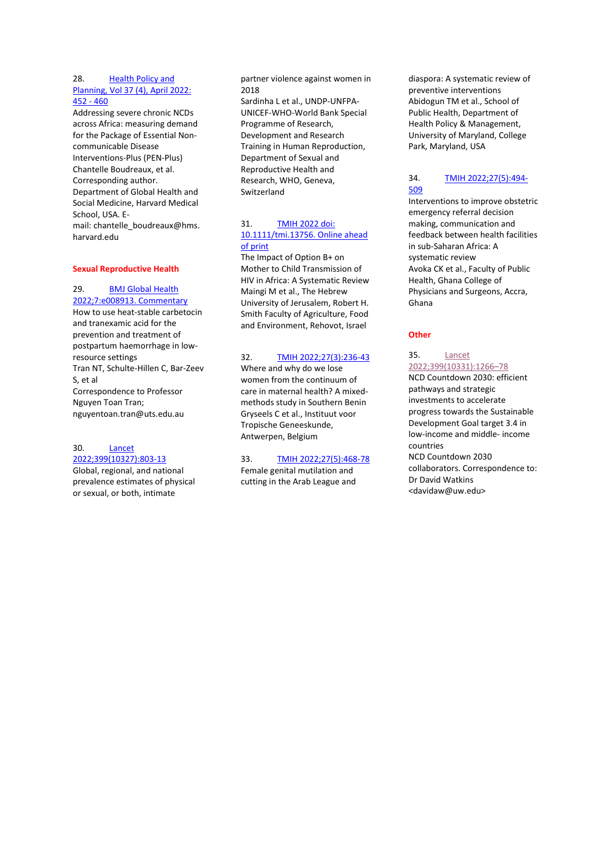#### 28. [Health Policy and](#page-23-0)  [Planning, Vol 37 \(4\), April 2022:](#page-23-0)  [452 -](#page-23-0) 460

Addressing severe chronic NCDs across Africa: measuring demand for the Package of Essential Noncommunicable Disease Interventions-Plus (PEN-Plus) [Chantelle Boudreaux,](javascript:;) et al. Corresponding author. Department of Global Health and Social Medicine, Harvard Medical School, USA. Email: [chantelle\\_boudreaux@hms.](mailto:chantelle_boudreaux@hms.harvard.edu) [harvard.edu](mailto:chantelle_boudreaux@hms.harvard.edu)

#### **Sexual Reproductive Health**

#### 29. [BMJ Global Health](#page-23-1)

[2022;7:e008913. Commentary](#page-23-1)  How to use heat-stable carbetocin and tranexamic acid for the prevention and treatment of postpartum haemorrhage in lowresource settings Tran NT, Schulte-Hillen C, Bar-Zeev S, et al Correspondence to Professor Nguyen Toan Tran; nguyentoan.tran@uts.edu.au

#### 30. [Lancet](#page-24-0)  [2022;399\(10327\):803-13](#page-24-0)

Global, regional, and national prevalence estimates of physical or sexual, or both, intimate

partner violence against women in 2018

Sardinha L et al., UNDP-UNFPA-UNICEF-WHO-World Bank Special Programme of Research, Development and Research Training in Human Reproduction, Department of Sexual and Reproductive Health and Research, WHO, Geneva, Switzerland

#### 31. [TMIH 2022 doi:](#page-25-0)  [10.1111/tmi.13756.](#page-25-0) Online ahead [of print](#page-25-0)

The Impact of Option B+ on Mother to Child Transmission of HIV in Africa: A Systematic Review Maingi M et al., The Hebrew University of Jerusalem, Robert H. Smith Faculty of Agriculture, Food and Environment, Rehovot, Israel

#### 32. [TMIH 2022;27\(3\):236-43](#page-26-0)

Where and why do we lose women from the continuum of care in maternal health? A mixedmethods study in Southern Benin Gryseels C et al., Instituut voor Tropische Geneeskunde, Antwerpen, Belgium

#### 33. [TMIH 2022;27\(5\):468-78](#page-26-1)  Female genital mutilation and

cutting in the Arab League and

diaspora: A systematic review of preventive interventions Abidogun TM et al., School of Public Health, Department of Health Policy & Management, University of Maryland, College Park, Maryland, USA

#### 34. [TMIH 2022;27\(5\):494-](#page-27-0) [509](#page-27-0)

Interventions to improve obstetric emergency referral decision making, communication and feedback between health facilities in sub-Saharan Africa: A systematic review Avoka CK et al., Faculty of Public Health, Ghana College of Physicians and Surgeons, Accra, Ghana

#### **Other**

#### 35. [Lancet](#page-28-0)  [2022;399\(10331\):1266](#page-28-0)–78 NCD Countdown 2030: efficient pathways and strategic investments to accelerate progress towards the Sustainable Development Goal target 3.4 in low-income and middle- income countries NCD Countdown 2030 collaborators. Correspondence to: Dr David Watkins [<davidaw@uw.edu>](mailto:davidaw@uw.edu)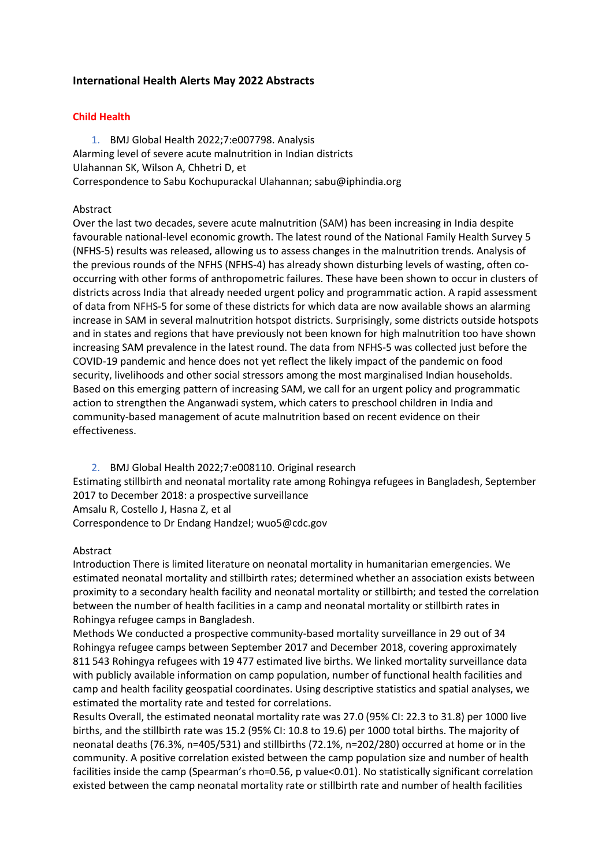# **International Health Alerts May 2022 Abstracts**

### **Child Health**

1. BMJ Global Health 2022;7:e007798. Analysis

<span id="page-3-0"></span>Alarming level of severe acute malnutrition in Indian districts

Ulahannan SK, Wilson A, Chhetri D, et

Correspondence to Sabu Kochupurackal Ulahannan; sabu@iphindia.org

# Abstract

Over the last two decades, severe acute malnutrition (SAM) has been increasing in India despite favourable national-level economic growth. The latest round of the National Family Health Survey 5 (NFHS-5) results was released, allowing us to assess changes in the malnutrition trends. Analysis of the previous rounds of the NFHS (NFHS-4) has already shown disturbing levels of wasting, often cooccurring with other forms of anthropometric failures. These have been shown to occur in clusters of districts across India that already needed urgent policy and programmatic action. A rapid assessment of data from NFHS-5 for some of these districts for which data are now available shows an alarming increase in SAM in several malnutrition hotspot districts. Surprisingly, some districts outside hotspots and in states and regions that have previously not been known for high malnutrition too have shown increasing SAM prevalence in the latest round. The data from NFHS-5 was collected just before the COVID-19 pandemic and hence does not yet reflect the likely impact of the pandemic on food security, livelihoods and other social stressors among the most marginalised Indian households. Based on this emerging pattern of increasing SAM, we call for an urgent policy and programmatic action to strengthen the Anganwadi system, which caters to preschool children in India and community-based management of acute malnutrition based on recent evidence on their effectiveness.

<span id="page-3-1"></span>2. BMJ Global Health 2022;7:e008110. Original research Estimating stillbirth and neonatal mortality rate among Rohingya refugees in Bangladesh, September 2017 to December 2018: a prospective surveillance Amsalu R, Costello J, Hasna Z, et al Correspondence to Dr Endang Handzel; wuo5@cdc.gov

# Abstract

Introduction There is limited literature on neonatal mortality in humanitarian emergencies. We estimated neonatal mortality and stillbirth rates; determined whether an association exists between proximity to a secondary health facility and neonatal mortality or stillbirth; and tested the correlation between the number of health facilities in a camp and neonatal mortality or stillbirth rates in Rohingya refugee camps in Bangladesh.

Methods We conducted a prospective community-based mortality surveillance in 29 out of 34 Rohingya refugee camps between September 2017 and December 2018, covering approximately 811 543 Rohingya refugees with 19 477 estimated live births. We linked mortality surveillance data with publicly available information on camp population, number of functional health facilities and camp and health facility geospatial coordinates. Using descriptive statistics and spatial analyses, we estimated the mortality rate and tested for correlations.

Results Overall, the estimated neonatal mortality rate was 27.0 (95% CI: 22.3 to 31.8) per 1000 live births, and the stillbirth rate was 15.2 (95% CI: 10.8 to 19.6) per 1000 total births. The majority of neonatal deaths (76.3%, n=405/531) and stillbirths (72.1%, n=202/280) occurred at home or in the community. A positive correlation existed between the camp population size and number of health facilities inside the camp (Spearman's rho=0.56, p value<0.01). No statistically significant correlation existed between the camp neonatal mortality rate or stillbirth rate and number of health facilities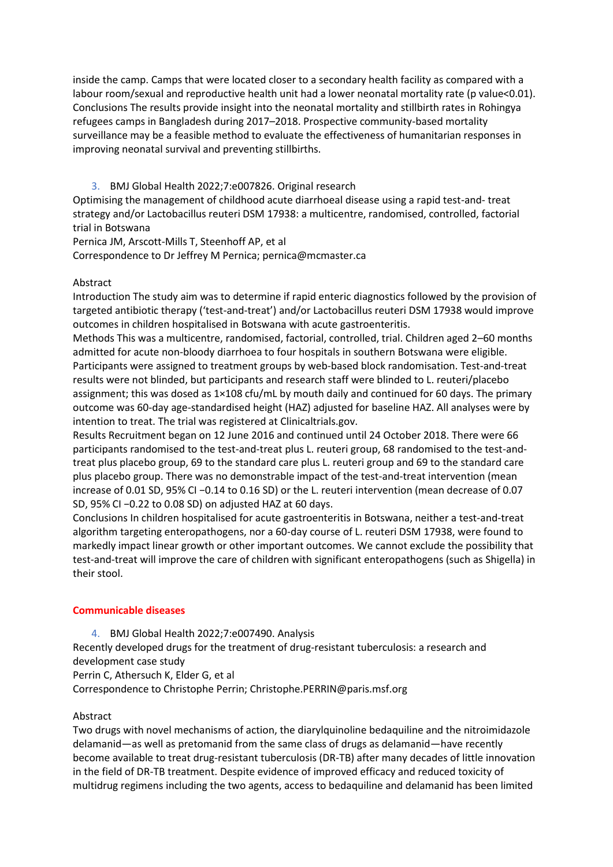inside the camp. Camps that were located closer to a secondary health facility as compared with a labour room/sexual and reproductive health unit had a lower neonatal mortality rate (p value<0.01). Conclusions The results provide insight into the neonatal mortality and stillbirth rates in Rohingya refugees camps in Bangladesh during 2017–2018. Prospective community-based mortality surveillance may be a feasible method to evaluate the effectiveness of humanitarian responses in improving neonatal survival and preventing stillbirths.

3. BMJ Global Health 2022;7:e007826. Original research

<span id="page-4-0"></span>Optimising the management of childhood acute diarrhoeal disease using a rapid test-and- treat strategy and/or Lactobacillus reuteri DSM 17938: a multicentre, randomised, controlled, factorial trial in Botswana

Pernica JM, Arscott-Mills T, Steenhoff AP, et al

Correspondence to Dr Jeffrey M Pernica; pernica@mcmaster.ca

# Abstract

Introduction The study aim was to determine if rapid enteric diagnostics followed by the provision of targeted antibiotic therapy ('test-and-treat') and/or Lactobacillus reuteri DSM 17938 would improve outcomes in children hospitalised in Botswana with acute gastroenteritis.

Methods This was a multicentre, randomised, factorial, controlled, trial. Children aged 2–60 months admitted for acute non-bloody diarrhoea to four hospitals in southern Botswana were eligible. Participants were assigned to treatment groups by web-based block randomisation. Test-and-treat results were not blinded, but participants and research staff were blinded to L. reuteri/placebo assignment; this was dosed as 1×108 cfu/mL by mouth daily and continued for 60 days. The primary outcome was 60-day age-standardised height (HAZ) adjusted for baseline HAZ. All analyses were by intention to treat. The trial was registered at Clinicaltrials.gov.

Results Recruitment began on 12 June 2016 and continued until 24 October 2018. There were 66 participants randomised to the test-and-treat plus L. reuteri group, 68 randomised to the test-andtreat plus placebo group, 69 to the standard care plus L. reuteri group and 69 to the standard care plus placebo group. There was no demonstrable impact of the test-and-treat intervention (mean increase of 0.01 SD, 95% CI −0.14 to 0.16 SD) or the L. reuteri intervention (mean decrease of 0.07 SD, 95% CI −0.22 to 0.08 SD) on adjusted HAZ at 60 days.

Conclusions In children hospitalised for acute gastroenteritis in Botswana, neither a test-and-treat algorithm targeting enteropathogens, nor a 60-day course of L. reuteri DSM 17938, were found to markedly impact linear growth or other important outcomes. We cannot exclude the possibility that test-and-treat will improve the care of children with significant enteropathogens (such as Shigella) in their stool.

# **Communicable diseases**

<span id="page-4-1"></span>4. BMJ Global Health 2022;7:e007490. Analysis Recently developed drugs for the treatment of drug-resistant tuberculosis: a research and development case study Perrin C, Athersuch K, Elder G, et al Correspondence to Christophe Perrin; Christophe.PERRIN@paris.msf.org

# Abstract

Two drugs with novel mechanisms of action, the diarylquinoline bedaquiline and the nitroimidazole delamanid—as well as pretomanid from the same class of drugs as delamanid—have recently become available to treat drug-resistant tuberculosis (DR-TB) after many decades of little innovation in the field of DR-TB treatment. Despite evidence of improved efficacy and reduced toxicity of multidrug regimens including the two agents, access to bedaquiline and delamanid has been limited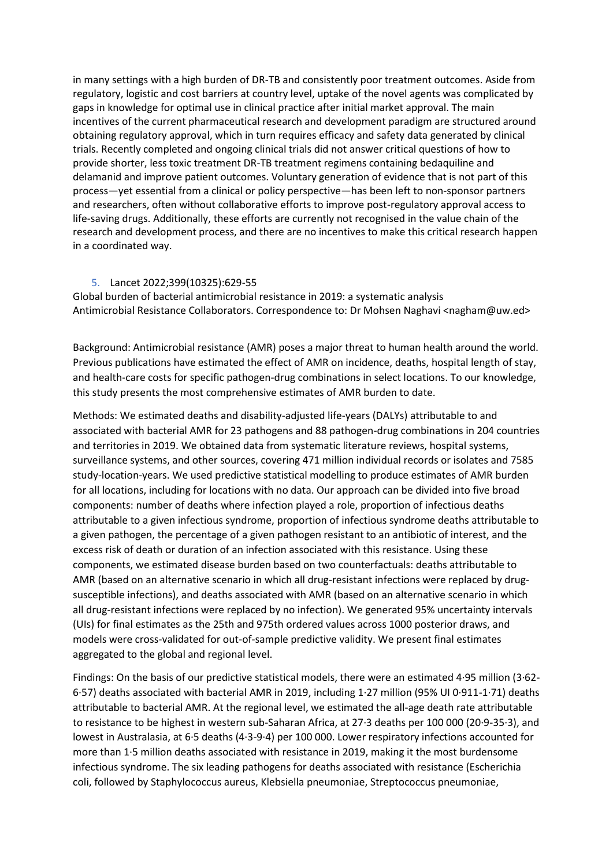in many settings with a high burden of DR-TB and consistently poor treatment outcomes. Aside from regulatory, logistic and cost barriers at country level, uptake of the novel agents was complicated by gaps in knowledge for optimal use in clinical practice after initial market approval. The main incentives of the current pharmaceutical research and development paradigm are structured around obtaining regulatory approval, which in turn requires efficacy and safety data generated by clinical trials. Recently completed and ongoing clinical trials did not answer critical questions of how to provide shorter, less toxic treatment DR-TB treatment regimens containing bedaquiline and delamanid and improve patient outcomes. Voluntary generation of evidence that is not part of this process—yet essential from a clinical or policy perspective—has been left to non-sponsor partners and researchers, often without collaborative efforts to improve post-regulatory approval access to life-saving drugs. Additionally, these efforts are currently not recognised in the value chain of the research and development process, and there are no incentives to make this critical research happen in a coordinated way.

### 5. Lancet 2022;399(10325):629-55

<span id="page-5-0"></span>Global burden of bacterial antimicrobial resistance in 2019: a systematic analysis Antimicrobial Resistance Collaborators. Correspondence to: Dr Mohsen Naghavi <nagham@uw.ed>

Background: Antimicrobial resistance (AMR) poses a major threat to human health around the world. Previous publications have estimated the effect of AMR on incidence, deaths, hospital length of stay, and health-care costs for specific pathogen-drug combinations in select locations. To our knowledge, this study presents the most comprehensive estimates of AMR burden to date.

Methods: We estimated deaths and disability-adjusted life-years (DALYs) attributable to and associated with bacterial AMR for 23 pathogens and 88 pathogen-drug combinations in 204 countries and territories in 2019. We obtained data from systematic literature reviews, hospital systems, surveillance systems, and other sources, covering 471 million individual records or isolates and 7585 study-location-years. We used predictive statistical modelling to produce estimates of AMR burden for all locations, including for locations with no data. Our approach can be divided into five broad components: number of deaths where infection played a role, proportion of infectious deaths attributable to a given infectious syndrome, proportion of infectious syndrome deaths attributable to a given pathogen, the percentage of a given pathogen resistant to an antibiotic of interest, and the excess risk of death or duration of an infection associated with this resistance. Using these components, we estimated disease burden based on two counterfactuals: deaths attributable to AMR (based on an alternative scenario in which all drug-resistant infections were replaced by drugsusceptible infections), and deaths associated with AMR (based on an alternative scenario in which all drug-resistant infections were replaced by no infection). We generated 95% uncertainty intervals (UIs) for final estimates as the 25th and 975th ordered values across 1000 posterior draws, and models were cross-validated for out-of-sample predictive validity. We present final estimates aggregated to the global and regional level.

Findings: On the basis of our predictive statistical models, there were an estimated 4·95 million (3·62- 6·57) deaths associated with bacterial AMR in 2019, including 1·27 million (95% UI 0·911-1·71) deaths attributable to bacterial AMR. At the regional level, we estimated the all-age death rate attributable to resistance to be highest in western sub-Saharan Africa, at 27·3 deaths per 100 000 (20·9-35·3), and lowest in Australasia, at 6·5 deaths (4·3-9·4) per 100 000. Lower respiratory infections accounted for more than 1·5 million deaths associated with resistance in 2019, making it the most burdensome infectious syndrome. The six leading pathogens for deaths associated with resistance (Escherichia coli, followed by Staphylococcus aureus, Klebsiella pneumoniae, Streptococcus pneumoniae,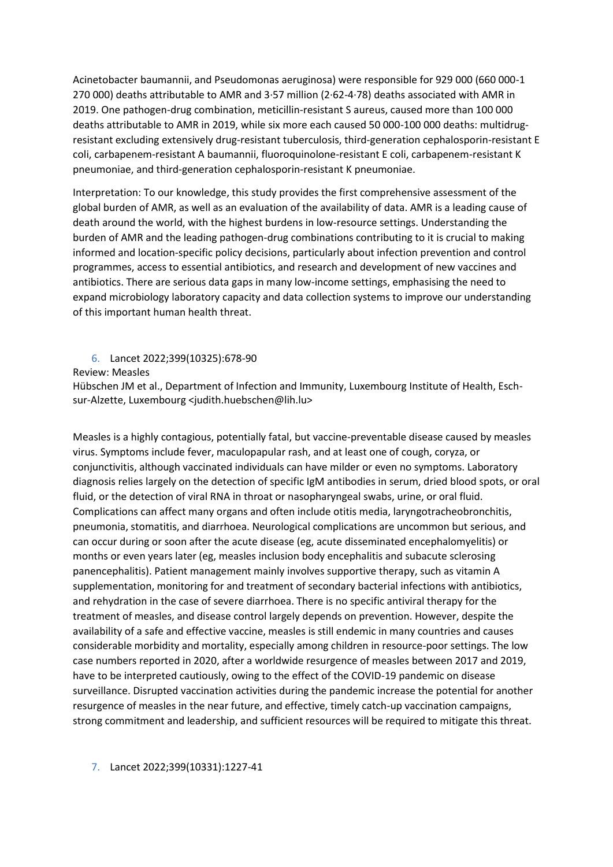Acinetobacter baumannii, and Pseudomonas aeruginosa) were responsible for 929 000 (660 000-1 270 000) deaths attributable to AMR and 3·57 million (2·62-4·78) deaths associated with AMR in 2019. One pathogen-drug combination, meticillin-resistant S aureus, caused more than 100 000 deaths attributable to AMR in 2019, while six more each caused 50 000-100 000 deaths: multidrugresistant excluding extensively drug-resistant tuberculosis, third-generation cephalosporin-resistant E coli, carbapenem-resistant A baumannii, fluoroquinolone-resistant E coli, carbapenem-resistant K pneumoniae, and third-generation cephalosporin-resistant K pneumoniae.

Interpretation: To our knowledge, this study provides the first comprehensive assessment of the global burden of AMR, as well as an evaluation of the availability of data. AMR is a leading cause of death around the world, with the highest burdens in low-resource settings. Understanding the burden of AMR and the leading pathogen-drug combinations contributing to it is crucial to making informed and location-specific policy decisions, particularly about infection prevention and control programmes, access to essential antibiotics, and research and development of new vaccines and antibiotics. There are serious data gaps in many low-income settings, emphasising the need to expand microbiology laboratory capacity and data collection systems to improve our understanding of this important human health threat.

# <span id="page-6-0"></span>6. Lancet 2022;399(10325):678-90

### Review: Measles

Hübschen JM et al., Department of Infection and Immunity, Luxembourg Institute of Health, Eschsur-Alzette, Luxembourg <judith.huebschen@lih.lu>

Measles is a highly contagious, potentially fatal, but vaccine-preventable disease caused by measles virus. Symptoms include fever, maculopapular rash, and at least one of cough, coryza, or conjunctivitis, although vaccinated individuals can have milder or even no symptoms. Laboratory diagnosis relies largely on the detection of specific IgM antibodies in serum, dried blood spots, or oral fluid, or the detection of viral RNA in throat or nasopharyngeal swabs, urine, or oral fluid. Complications can affect many organs and often include otitis media, laryngotracheobronchitis, pneumonia, stomatitis, and diarrhoea. Neurological complications are uncommon but serious, and can occur during or soon after the acute disease (eg, acute disseminated encephalomyelitis) or months or even years later (eg, measles inclusion body encephalitis and subacute sclerosing panencephalitis). Patient management mainly involves supportive therapy, such as vitamin A supplementation, monitoring for and treatment of secondary bacterial infections with antibiotics, and rehydration in the case of severe diarrhoea. There is no specific antiviral therapy for the treatment of measles, and disease control largely depends on prevention. However, despite the availability of a safe and effective vaccine, measles is still endemic in many countries and causes considerable morbidity and mortality, especially among children in resource-poor settings. The low case numbers reported in 2020, after a worldwide resurgence of measles between 2017 and 2019, have to be interpreted cautiously, owing to the effect of the COVID-19 pandemic on disease surveillance. Disrupted vaccination activities during the pandemic increase the potential for another resurgence of measles in the near future, and effective, timely catch-up vaccination campaigns, strong commitment and leadership, and sufficient resources will be required to mitigate this threat.

# <span id="page-6-1"></span>7. Lancet 2022;399(10331):1227-41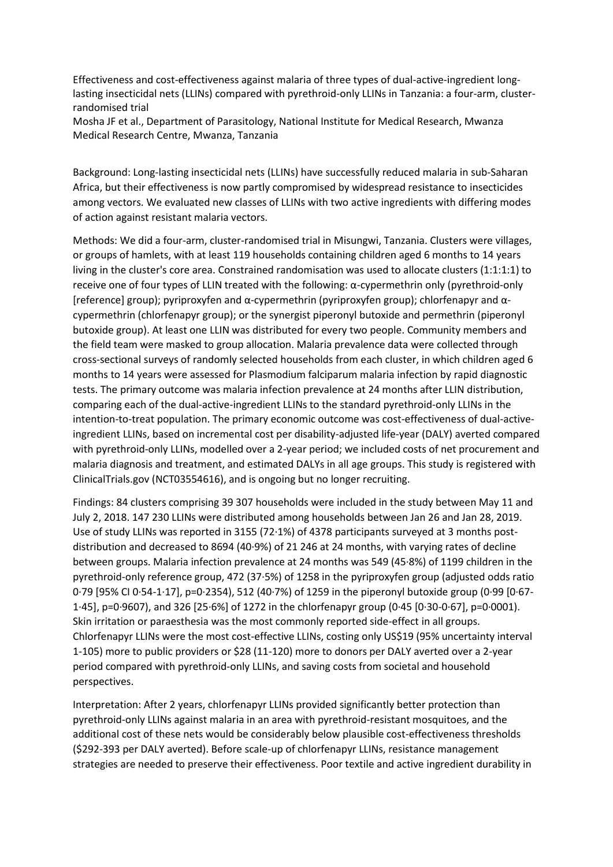Effectiveness and cost-effectiveness against malaria of three types of dual-active-ingredient longlasting insecticidal nets (LLINs) compared with pyrethroid-only LLINs in Tanzania: a four-arm, clusterrandomised trial

Mosha JF et al., Department of Parasitology, National Institute for Medical Research, Mwanza Medical Research Centre, Mwanza, Tanzania

Background: Long-lasting insecticidal nets (LLINs) have successfully reduced malaria in sub-Saharan Africa, but their effectiveness is now partly compromised by widespread resistance to insecticides among vectors. We evaluated new classes of LLINs with two active ingredients with differing modes of action against resistant malaria vectors.

Methods: We did a four-arm, cluster-randomised trial in Misungwi, Tanzania. Clusters were villages, or groups of hamlets, with at least 119 households containing children aged 6 months to 14 years living in the cluster's core area. Constrained randomisation was used to allocate clusters (1:1:1:1) to receive one of four types of LLIN treated with the following: α-cypermethrin only (pyrethroid-only [reference] group); pyriproxyfen and α-cypermethrin (pyriproxyfen group); chlorfenapyr and αcypermethrin (chlorfenapyr group); or the synergist piperonyl butoxide and permethrin (piperonyl butoxide group). At least one LLIN was distributed for every two people. Community members and the field team were masked to group allocation. Malaria prevalence data were collected through cross-sectional surveys of randomly selected households from each cluster, in which children aged 6 months to 14 years were assessed for Plasmodium falciparum malaria infection by rapid diagnostic tests. The primary outcome was malaria infection prevalence at 24 months after LLIN distribution, comparing each of the dual-active-ingredient LLINs to the standard pyrethroid-only LLINs in the intention-to-treat population. The primary economic outcome was cost-effectiveness of dual-activeingredient LLINs, based on incremental cost per disability-adjusted life-year (DALY) averted compared with pyrethroid-only LLINs, modelled over a 2-year period; we included costs of net procurement and malaria diagnosis and treatment, and estimated DALYs in all age groups. This study is registered with ClinicalTrials.gov (NCT03554616), and is ongoing but no longer recruiting.

Findings: 84 clusters comprising 39 307 households were included in the study between May 11 and July 2, 2018. 147 230 LLINs were distributed among households between Jan 26 and Jan 28, 2019. Use of study LLINs was reported in 3155 (72·1%) of 4378 participants surveyed at 3 months postdistribution and decreased to 8694 (40·9%) of 21 246 at 24 months, with varying rates of decline between groups. Malaria infection prevalence at 24 months was 549 (45·8%) of 1199 children in the pyrethroid-only reference group, 472 (37·5%) of 1258 in the pyriproxyfen group (adjusted odds ratio 0·79 [95% CI 0·54-1·17], p=0·2354), 512 (40·7%) of 1259 in the piperonyl butoxide group (0·99 [0·67- 1·45], p=0·9607), and 326 [25·6%] of 1272 in the chlorfenapyr group (0·45 [0·30-0·67], p=0·0001). Skin irritation or paraesthesia was the most commonly reported side-effect in all groups. Chlorfenapyr LLINs were the most cost-effective LLINs, costing only US\$19 (95% uncertainty interval 1-105) more to public providers or \$28 (11-120) more to donors per DALY averted over a 2-year period compared with pyrethroid-only LLINs, and saving costs from societal and household perspectives.

Interpretation: After 2 years, chlorfenapyr LLINs provided significantly better protection than pyrethroid-only LLINs against malaria in an area with pyrethroid-resistant mosquitoes, and the additional cost of these nets would be considerably below plausible cost-effectiveness thresholds (\$292-393 per DALY averted). Before scale-up of chlorfenapyr LLINs, resistance management strategies are needed to preserve their effectiveness. Poor textile and active ingredient durability in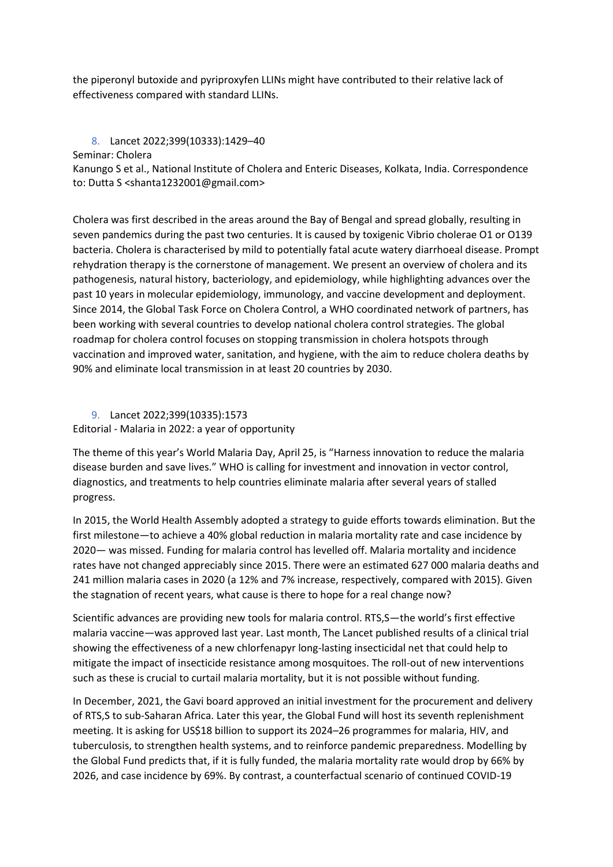the piperonyl butoxide and pyriproxyfen LLINs might have contributed to their relative lack of effectiveness compared with standard LLINs.

8. Lancet 2022;399(10333):1429–40

<span id="page-8-0"></span>Seminar: Cholera

Kanungo S et al., National Institute of Cholera and Enteric Diseases, Kolkata, India. Correspondence to: Dutta S [<shanta1232001@gmail.com>](mailto:shanta1232001@gmail.com)

Cholera was first described in the areas around the Bay of Bengal and spread globally, resulting in seven pandemics during the past two centuries. It is caused by toxigenic Vibrio cholerae O1 or O139 bacteria. Cholera is characterised by mild to potentially fatal acute watery diarrhoeal disease. Prompt rehydration therapy is the cornerstone of management. We present an overview of cholera and its pathogenesis, natural history, bacteriology, and epidemiology, while highlighting advances over the past 10 years in molecular epidemiology, immunology, and vaccine development and deployment. Since 2014, the Global Task Force on Cholera Control, a WHO coordinated network of partners, has been working with several countries to develop national cholera control strategies. The global roadmap for cholera control focuses on stopping transmission in cholera hotspots through vaccination and improved water, sanitation, and hygiene, with the aim to reduce cholera deaths by 90% and eliminate local transmission in at least 20 countries by 2030.

# <span id="page-8-1"></span>9. Lancet 2022;399(10335):1573

Editorial - Malaria in 2022: a year of opportunity

The theme of this year's World Malaria Day, April 25, is "Harness innovation to reduce the malaria disease burden and save lives." WHO is calling for investment and innovation in vector control, diagnostics, and treatments to help countries eliminate malaria after several years of stalled progress.

In 2015, the World Health Assembly adopted a strategy to guide efforts towards elimination. But the first milestone—to achieve a 40% global reduction in malaria mortality rate and case incidence by 2020— was missed. Funding for malaria control has levelled off. Malaria mortality and incidence rates have not changed appreciably since 2015. There were an estimated 627 000 malaria deaths and 241 million malaria cases in 2020 (a 12% and 7% increase, respectively, compared with 2015). Given the stagnation of recent years, what cause is there to hope for a real change now?

Scientific advances are providing new tools for malaria control. RTS,S—the world's first effective malaria vaccine—was approved last year. Last month, The Lancet published results of a clinical trial showing the effectiveness of a new chlorfenapyr long-lasting insecticidal net that could help to mitigate the impact of insecticide resistance among mosquitoes. The roll-out of new interventions such as these is crucial to curtail malaria mortality, but it is not possible without funding.

In December, 2021, the Gavi board approved an initial investment for the procurement and delivery of RTS,S to sub-Saharan Africa. Later this year, the Global Fund will host its seventh replenishment meeting. It is asking for US\$18 billion to support its 2024–26 programmes for malaria, HIV, and tuberculosis, to strengthen health systems, and to reinforce pandemic preparedness. Modelling by the Global Fund predicts that, if it is fully funded, the malaria mortality rate would drop by 66% by 2026, and case incidence by 69%. By contrast, a counterfactual scenario of continued COVID-19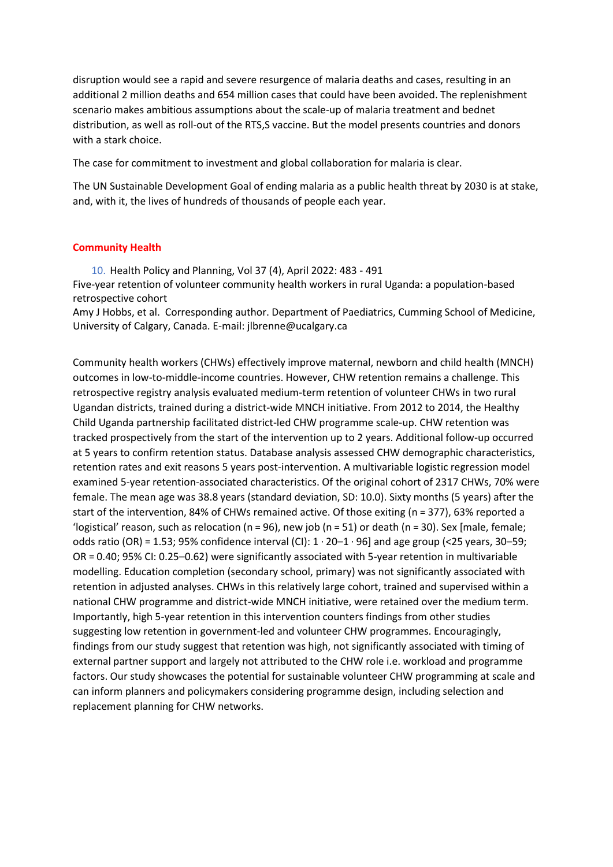disruption would see a rapid and severe resurgence of malaria deaths and cases, resulting in an additional 2 million deaths and 654 million cases that could have been avoided. The replenishment scenario makes ambitious assumptions about the scale-up of malaria treatment and bednet distribution, as well as roll-out of the RTS,S vaccine. But the model presents countries and donors with a stark choice.

The case for commitment to investment and global collaboration for malaria is clear.

The UN Sustainable Development Goal of ending malaria as a public health threat by 2030 is at stake, and, with it, the lives of hundreds of thousands of people each year.

### **Community Health**

<span id="page-9-0"></span>10. Health Policy and Planning, Vol 37 (4), April 2022: 483 - 491 Five-year retention of volunteer community health workers in rural Uganda: a population-based retrospective cohort

[Amy J Hobbs,](javascript:;) et al. Corresponding author. Department of Paediatrics, Cumming School of Medicine, University of Calgary, Canada. E-mail: [jlbrenne@ucalgary.ca](mailto:jlbrenne@ucalgary.ca)

Community health workers (CHWs) effectively improve maternal, newborn and child health (MNCH) outcomes in low-to-middle-income countries. However, CHW retention remains a challenge. This retrospective registry analysis evaluated medium-term retention of volunteer CHWs in two rural Ugandan districts, trained during a district-wide MNCH initiative. From 2012 to 2014, the Healthy Child Uganda partnership facilitated district-led CHW programme scale-up. CHW retention was tracked prospectively from the start of the intervention up to 2 years. Additional follow-up occurred at 5 years to confirm retention status. Database analysis assessed CHW demographic characteristics, retention rates and exit reasons 5 years post-intervention. A multivariable logistic regression model examined 5-year retention-associated characteristics. Of the original cohort of 2317 CHWs, 70% were female. The mean age was 38.8 years (standard deviation, SD: 10.0). Sixty months (5 years) after the start of the intervention, 84% of CHWs remained active. Of those exiting (n = 377), 63% reported a 'logistical' reason, such as relocation ( $n = 96$ ), new job ( $n = 51$ ) or death ( $n = 30$ ). Sex [male, female; odds ratio (OR) = 1.53; 95% confidence interval (CI):  $1 \cdot 20 - 1 \cdot 96$ ] and age group (<25 years, 30-59; OR = 0.40; 95% CI: 0.25–0.62) were significantly associated with 5-year retention in multivariable modelling. Education completion (secondary school, primary) was not significantly associated with retention in adjusted analyses. CHWs in this relatively large cohort, trained and supervised within a national CHW programme and district-wide MNCH initiative, were retained over the medium term. Importantly, high 5-year retention in this intervention counters findings from other studies suggesting low retention in government-led and volunteer CHW programmes. Encouragingly, findings from our study suggest that retention was high, not significantly associated with timing of external partner support and largely not attributed to the CHW role i.e. workload and programme factors. Our study showcases the potential for sustainable volunteer CHW programming at scale and can inform planners and policymakers considering programme design, including selection and replacement planning for CHW networks.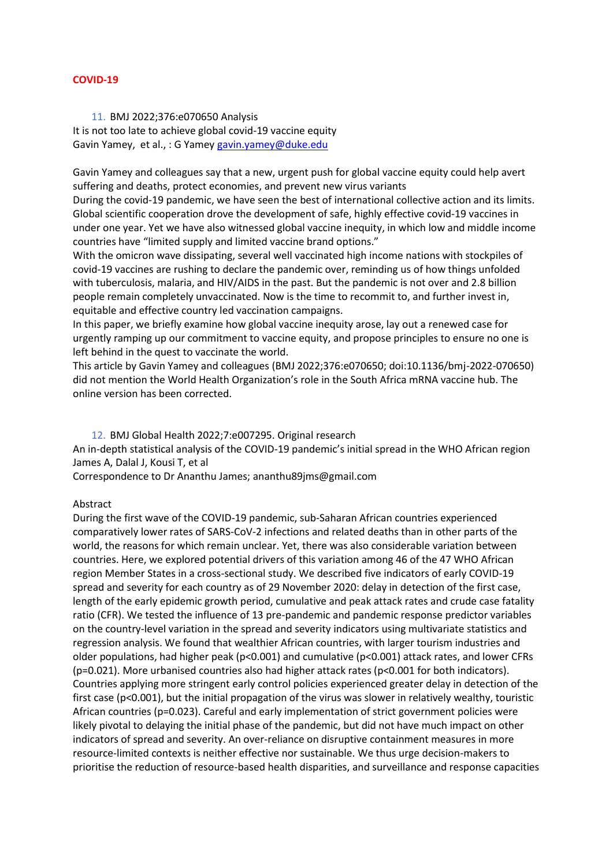# **COVID-19**

<span id="page-10-0"></span>11. BMJ 2022;376:e070650 Analysis It is not too late to achieve global covid-19 vaccine equity Gavin Yamey, et al., : G Yamey [gavin.yamey@duke.edu](mailto:gavin.yamey@duke.edu)

Gavin Yamey and colleagues say that a new, urgent push for global vaccine equity could help avert suffering and deaths, protect economies, and prevent new virus variants

During the covid-19 pandemic, we have seen the best of international collective action and its limits. Global scientific cooperation drove the development of safe, highly effective covid-19 vaccines in under one year. Yet we have also witnessed global vaccine inequity, in which low and middle income countries have "limited supply and limited vaccine brand options."

With the omicron wave dissipating, several well vaccinated high income nations with stockpiles of covid-19 vaccines are rushing to declare the pandemic over, reminding us of how things unfolded with tuberculosis, malaria, and HIV/AIDS in the past. But the pandemic is not over and 2.8 billion people remain completely unvaccinated. Now is the time to recommit to, and further invest in, equitable and effective country led vaccination campaigns.

In this paper, we briefly examine how global vaccine inequity arose, lay out a renewed case for urgently ramping up our commitment to vaccine equity, and propose principles to ensure no one is left behind in the quest to vaccinate the world.

This article by Gavin Yamey and colleagues (BMJ 2022;376:e070650; doi:10.1136/bmj-2022-070650) did not mention the World Health Organization's role in the South Africa mRNA vaccine hub. The online version has been corrected.

12. BMJ Global Health 2022;7:e007295. Original research

<span id="page-10-1"></span>An in-depth statistical analysis of the COVID-19 pandemic's initial spread in the WHO African region James A, Dalal J, Kousi T, et al

Correspondence to Dr Ananthu James; ananthu89jms@gmail.com

### Abstract

During the first wave of the COVID-19 pandemic, sub-Saharan African countries experienced comparatively lower rates of SARS-CoV-2 infections and related deaths than in other parts of the world, the reasons for which remain unclear. Yet, there was also considerable variation between countries. Here, we explored potential drivers of this variation among 46 of the 47 WHO African region Member States in a cross-sectional study. We described five indicators of early COVID-19 spread and severity for each country as of 29 November 2020: delay in detection of the first case, length of the early epidemic growth period, cumulative and peak attack rates and crude case fatality ratio (CFR). We tested the influence of 13 pre-pandemic and pandemic response predictor variables on the country-level variation in the spread and severity indicators using multivariate statistics and regression analysis. We found that wealthier African countries, with larger tourism industries and older populations, had higher peak (p<0.001) and cumulative (p<0.001) attack rates, and lower CFRs (p=0.021). More urbanised countries also had higher attack rates (p<0.001 for both indicators). Countries applying more stringent early control policies experienced greater delay in detection of the first case (p<0.001), but the initial propagation of the virus was slower in relatively wealthy, touristic African countries (p=0.023). Careful and early implementation of strict government policies were likely pivotal to delaying the initial phase of the pandemic, but did not have much impact on other indicators of spread and severity. An over-reliance on disruptive containment measures in more resource-limited contexts is neither effective nor sustainable. We thus urge decision-makers to prioritise the reduction of resource-based health disparities, and surveillance and response capacities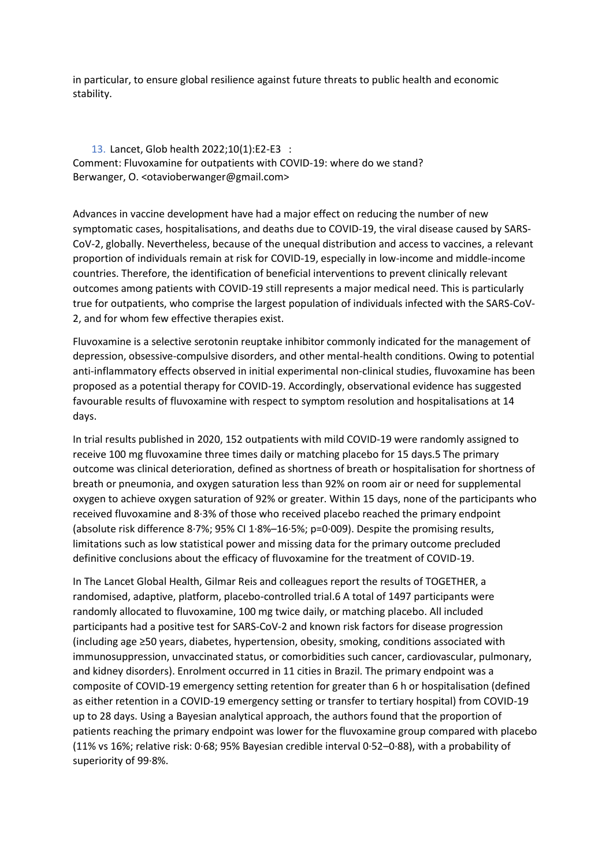in particular, to ensure global resilience against future threats to public health and economic stability.

<span id="page-11-0"></span>13. Lancet, Glob health 2022;10(1):E2-E3 : Comment: Fluvoxamine for outpatients with COVID-19: where do we stand? Berwanger, O. <otavioberwanger@gmail.com>

Advances in vaccine development have had a major effect on reducing the number of new symptomatic cases, hospitalisations, and deaths due to COVID-19, the viral disease caused by SARS-CoV-2, globally. Nevertheless, because of the unequal distribution and access to vaccines, a relevant proportion of individuals remain at risk for COVID-19, especially in low-income and middle-income countries. Therefore, the identification of beneficial interventions to prevent clinically relevant outcomes among patients with COVID-19 still represents a major medical need. This is particularly true for outpatients, who comprise the largest population of individuals infected with the SARS-CoV-2, and for whom few effective therapies exist.

Fluvoxamine is a selective serotonin reuptake inhibitor commonly indicated for the management of depression, obsessive-compulsive disorders, and other mental-health conditions. Owing to potential anti-inflammatory effects observed in initial experimental non-clinical studies, fluvoxamine has been proposed as a potential therapy for COVID-19. Accordingly, observational evidence has suggested favourable results of fluvoxamine with respect to symptom resolution and hospitalisations at 14 days.

In trial results published in 2020, 152 outpatients with mild COVID-19 were randomly assigned to receive 100 mg fluvoxamine three times daily or matching placebo for 15 days.5 The primary outcome was clinical deterioration, defined as shortness of breath or hospitalisation for shortness of breath or pneumonia, and oxygen saturation less than 92% on room air or need for supplemental oxygen to achieve oxygen saturation of 92% or greater. Within 15 days, none of the participants who received fluvoxamine and 8·3% of those who received placebo reached the primary endpoint (absolute risk difference 8·7%; 95% CI 1·8%–16·5%; p=0·009). Despite the promising results, limitations such as low statistical power and missing data for the primary outcome precluded definitive conclusions about the efficacy of fluvoxamine for the treatment of COVID-19.

In The Lancet Global Health, Gilmar Reis and colleagues report the results of TOGETHER, a randomised, adaptive, platform, placebo-controlled trial.6 A total of 1497 participants were randomly allocated to fluvoxamine, 100 mg twice daily, or matching placebo. All included participants had a positive test for SARS-CoV-2 and known risk factors for disease progression (including age ≥50 years, diabetes, hypertension, obesity, smoking, conditions associated with immunosuppression, unvaccinated status, or comorbidities such cancer, cardiovascular, pulmonary, and kidney disorders). Enrolment occurred in 11 cities in Brazil. The primary endpoint was a composite of COVID-19 emergency setting retention for greater than 6 h or hospitalisation (defined as either retention in a COVID-19 emergency setting or transfer to tertiary hospital) from COVID-19 up to 28 days. Using a Bayesian analytical approach, the authors found that the proportion of patients reaching the primary endpoint was lower for the fluvoxamine group compared with placebo (11% vs 16%; relative risk: 0·68; 95% Bayesian credible interval 0·52–0·88), with a probability of superiority of 99·8%.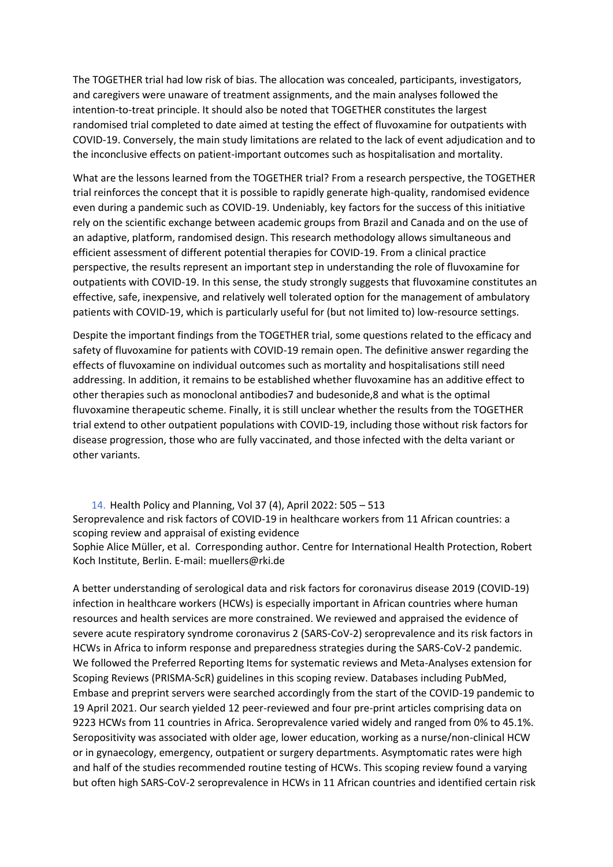The TOGETHER trial had low risk of bias. The allocation was concealed, participants, investigators, and caregivers were unaware of treatment assignments, and the main analyses followed the intention-to-treat principle. It should also be noted that TOGETHER constitutes the largest randomised trial completed to date aimed at testing the effect of fluvoxamine for outpatients with COVID-19. Conversely, the main study limitations are related to the lack of event adjudication and to the inconclusive effects on patient-important outcomes such as hospitalisation and mortality.

What are the lessons learned from the TOGETHER trial? From a research perspective, the TOGETHER trial reinforces the concept that it is possible to rapidly generate high-quality, randomised evidence even during a pandemic such as COVID-19. Undeniably, key factors for the success of this initiative rely on the scientific exchange between academic groups from Brazil and Canada and on the use of an adaptive, platform, randomised design. This research methodology allows simultaneous and efficient assessment of different potential therapies for COVID-19. From a clinical practice perspective, the results represent an important step in understanding the role of fluvoxamine for outpatients with COVID-19. In this sense, the study strongly suggests that fluvoxamine constitutes an effective, safe, inexpensive, and relatively well tolerated option for the management of ambulatory patients with COVID-19, which is particularly useful for (but not limited to) low-resource settings.

Despite the important findings from the TOGETHER trial, some questions related to the efficacy and safety of fluvoxamine for patients with COVID-19 remain open. The definitive answer regarding the effects of fluvoxamine on individual outcomes such as mortality and hospitalisations still need addressing. In addition, it remains to be established whether fluvoxamine has an additive effect to other therapies such as monoclonal antibodies7 and budesonide,8 and what is the optimal fluvoxamine therapeutic scheme. Finally, it is still unclear whether the results from the TOGETHER trial extend to other outpatient populations with COVID-19, including those without risk factors for disease progression, those who are fully vaccinated, and those infected with the delta variant or other variants.

<span id="page-12-0"></span>14. Health Policy and Planning, Vol 37 (4), April 2022: 505 – 513 Seroprevalence and risk factors of COVID-19 in healthcare workers from 11 African countries: a scoping review and appraisal of existing evidence [Sophie Alice Müller,](javascript:;) et al. Corresponding author. Centre for International Health Protection, Robert Koch Institute, Berlin. E-mail: [muellers@rki.de](mailto:muellers@rki.de)

A better understanding of serological data and risk factors for coronavirus disease 2019 (COVID-19) infection in healthcare workers (HCWs) is especially important in African countries where human resources and health services are more constrained. We reviewed and appraised the evidence of severe acute respiratory syndrome coronavirus 2 (SARS-CoV-2) seroprevalence and its risk factors in HCWs in Africa to inform response and preparedness strategies during the SARS-CoV-2 pandemic. We followed the Preferred Reporting Items for systematic reviews and Meta-Analyses extension for Scoping Reviews (PRISMA-ScR) guidelines in this scoping review. Databases including PubMed, Embase and preprint servers were searched accordingly from the start of the COVID-19 pandemic to 19 April 2021. Our search yielded 12 peer-reviewed and four pre-print articles comprising data on 9223 HCWs from 11 countries in Africa. Seroprevalence varied widely and ranged from 0% to 45.1%. Seropositivity was associated with older age, lower education, working as a nurse/non-clinical HCW or in gynaecology, emergency, outpatient or surgery departments. Asymptomatic rates were high and half of the studies recommended routine testing of HCWs. This scoping review found a varying but often high SARS-CoV-2 seroprevalence in HCWs in 11 African countries and identified certain risk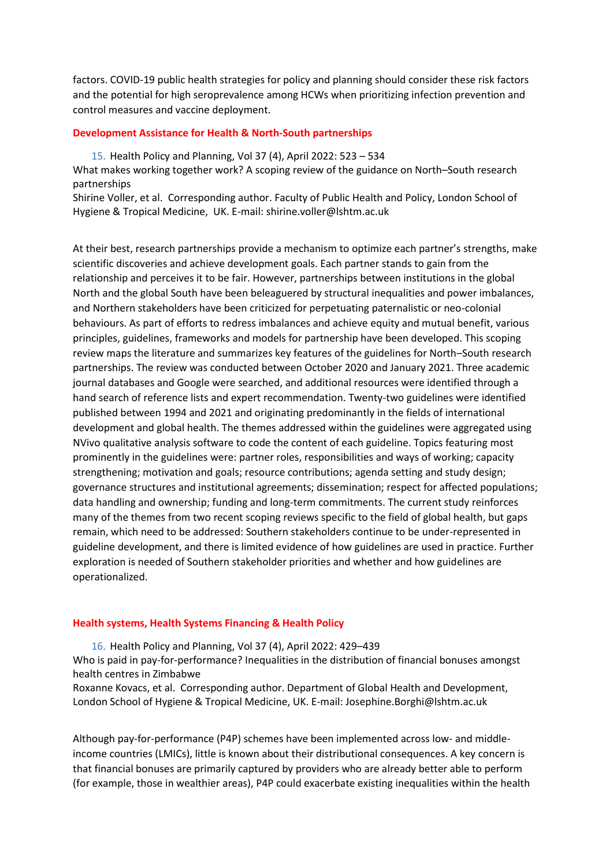factors. COVID-19 public health strategies for policy and planning should consider these risk factors and the potential for high seroprevalence among HCWs when prioritizing infection prevention and control measures and vaccine deployment.

### **Development Assistance for Health & North-South partnerships**

15. Health Policy and Planning, Vol 37 (4), April 2022: 523 – 534

<span id="page-13-0"></span>What makes working together work? A scoping review of the guidance on North–South research partnerships

[Shirine Voller,](javascript:;) et al. Corresponding author. Faculty of Public Health and Policy, London School of Hygiene & Tropical Medicine, UK. E-mail: [shirine.voller@lshtm.ac.uk](mailto:shirine.voller@lshtm.ac.uk)

At their best, research partnerships provide a mechanism to optimize each partner's strengths, make scientific discoveries and achieve development goals. Each partner stands to gain from the relationship and perceives it to be fair. However, partnerships between institutions in the global North and the global South have been beleaguered by structural inequalities and power imbalances, and Northern stakeholders have been criticized for perpetuating paternalistic or neo-colonial behaviours. As part of efforts to redress imbalances and achieve equity and mutual benefit, various principles, guidelines, frameworks and models for partnership have been developed. This scoping review maps the literature and summarizes key features of the guidelines for North–South research partnerships. The review was conducted between October 2020 and January 2021. Three academic journal databases and Google were searched, and additional resources were identified through a hand search of reference lists and expert recommendation. Twenty-two guidelines were identified published between 1994 and 2021 and originating predominantly in the fields of international development and global health. The themes addressed within the guidelines were aggregated using NVivo qualitative analysis software to code the content of each guideline. Topics featuring most prominently in the guidelines were: partner roles, responsibilities and ways of working; capacity strengthening; motivation and goals; resource contributions; agenda setting and study design; governance structures and institutional agreements; dissemination; respect for affected populations; data handling and ownership; funding and long-term commitments. The current study reinforces many of the themes from two recent scoping reviews specific to the field of global health, but gaps remain, which need to be addressed: Southern stakeholders continue to be under-represented in guideline development, and there is limited evidence of how guidelines are used in practice. Further exploration is needed of Southern stakeholder priorities and whether and how guidelines are operationalized.

### **Health systems, Health Systems Financing & Health Policy**

<span id="page-13-1"></span>16. Health Policy and Planning, Vol 37 (4), April 2022: 429–439

Who is paid in pay-for-performance? Inequalities in the distribution of financial bonuses amongst health centres in Zimbabwe

[Roxanne Kovacs,](javascript:;) et al. Corresponding author. Department of Global Health and Development, London School of Hygiene & Tropical Medicine, UK. E-mail: [Josephine.Borghi@lshtm.ac.uk](mailto:Josephine.Borghi@lshtm.ac.uk)

Although pay-for-performance (P4P) schemes have been implemented across low- and middleincome countries (LMICs), little is known about their distributional consequences. A key concern is that financial bonuses are primarily captured by providers who are already better able to perform (for example, those in wealthier areas), P4P could exacerbate existing inequalities within the health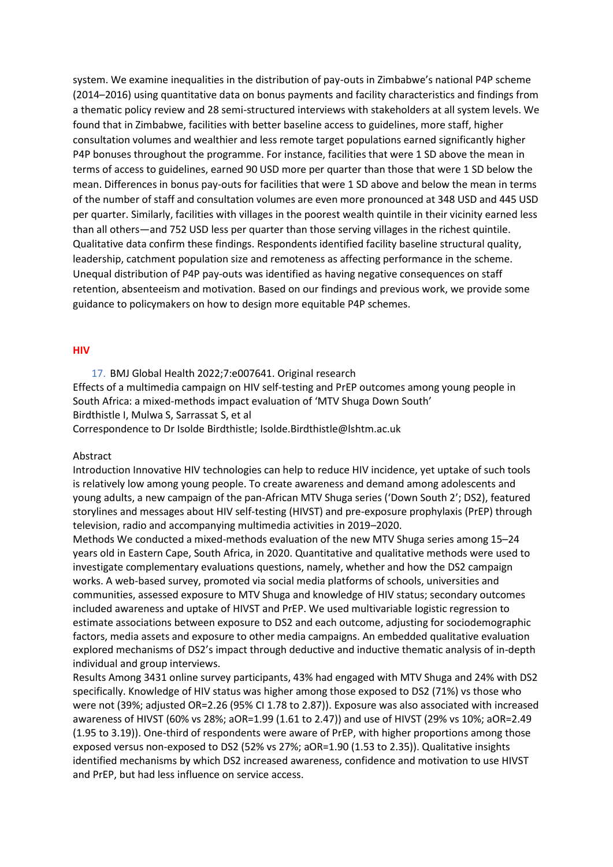system. We examine inequalities in the distribution of pay-outs in Zimbabwe's national P4P scheme (2014–2016) using quantitative data on bonus payments and facility characteristics and findings from a thematic policy review and 28 semi-structured interviews with stakeholders at all system levels. We found that in Zimbabwe, facilities with better baseline access to guidelines, more staff, higher consultation volumes and wealthier and less remote target populations earned significantly higher P4P bonuses throughout the programme. For instance, facilities that were 1 SD above the mean in terms of access to guidelines, earned 90 USD more per quarter than those that were 1 SD below the mean. Differences in bonus pay-outs for facilities that were 1 SD above and below the mean in terms of the number of staff and consultation volumes are even more pronounced at 348 USD and 445 USD per quarter. Similarly, facilities with villages in the poorest wealth quintile in their vicinity earned less than all others—and 752 USD less per quarter than those serving villages in the richest quintile. Qualitative data confirm these findings. Respondents identified facility baseline structural quality, leadership, catchment population size and remoteness as affecting performance in the scheme. Unequal distribution of P4P pay-outs was identified as having negative consequences on staff retention, absenteeism and motivation. Based on our findings and previous work, we provide some guidance to policymakers on how to design more equitable P4P schemes.

### **HIV**

<span id="page-14-0"></span>17. BMJ Global Health 2022;7:e007641. Original research Effects of a multimedia campaign on HIV self-testing and PrEP outcomes among young people in South Africa: a mixed-methods impact evaluation of 'MTV Shuga Down South' Birdthistle I, Mulwa S, Sarrassat S, et al

Correspondence to Dr Isolde Birdthistle; Isolde.Birdthistle@lshtm.ac.uk

### Abstract

Introduction Innovative HIV technologies can help to reduce HIV incidence, yet uptake of such tools is relatively low among young people. To create awareness and demand among adolescents and young adults, a new campaign of the pan-African MTV Shuga series ('Down South 2'; DS2), featured storylines and messages about HIV self-testing (HIVST) and pre-exposure prophylaxis (PrEP) through television, radio and accompanying multimedia activities in 2019–2020.

Methods We conducted a mixed-methods evaluation of the new MTV Shuga series among 15–24 years old in Eastern Cape, South Africa, in 2020. Quantitative and qualitative methods were used to investigate complementary evaluations questions, namely, whether and how the DS2 campaign works. A web-based survey, promoted via social media platforms of schools, universities and communities, assessed exposure to MTV Shuga and knowledge of HIV status; secondary outcomes included awareness and uptake of HIVST and PrEP. We used multivariable logistic regression to estimate associations between exposure to DS2 and each outcome, adjusting for sociodemographic factors, media assets and exposure to other media campaigns. An embedded qualitative evaluation explored mechanisms of DS2's impact through deductive and inductive thematic analysis of in-depth individual and group interviews.

Results Among 3431 online survey participants, 43% had engaged with MTV Shuga and 24% with DS2 specifically. Knowledge of HIV status was higher among those exposed to DS2 (71%) vs those who were not (39%; adjusted OR=2.26 (95% CI 1.78 to 2.87)). Exposure was also associated with increased awareness of HIVST (60% vs 28%; aOR=1.99 (1.61 to 2.47)) and use of HIVST (29% vs 10%; aOR=2.49 (1.95 to 3.19)). One-third of respondents were aware of PrEP, with higher proportions among those exposed versus non-exposed to DS2 (52% vs 27%; aOR=1.90 (1.53 to 2.35)). Qualitative insights identified mechanisms by which DS2 increased awareness, confidence and motivation to use HIVST and PrEP, but had less influence on service access.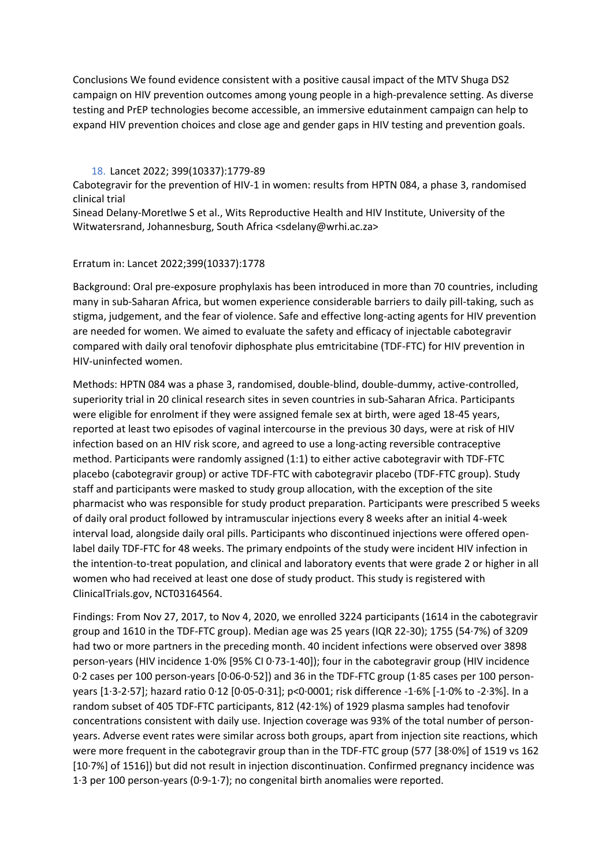Conclusions We found evidence consistent with a positive causal impact of the MTV Shuga DS2 campaign on HIV prevention outcomes among young people in a high-prevalence setting. As diverse testing and PrEP technologies become accessible, an immersive edutainment campaign can help to expand HIV prevention choices and close age and gender gaps in HIV testing and prevention goals.

# 18. Lancet 2022; 399(10337):1779-89

<span id="page-15-0"></span>Cabotegravir for the prevention of HIV-1 in women: results from HPTN 084, a phase 3, randomised clinical trial

Sinead Delany-Moretlwe S et al., Wits Reproductive Health and HIV Institute, University of the Witwatersrand, Johannesburg, South Africa <sdelany@wrhi.ac.za>

### Erratum in: Lancet 2022;399(10337):1778

Background: Oral pre-exposure prophylaxis has been introduced in more than 70 countries, including many in sub-Saharan Africa, but women experience considerable barriers to daily pill-taking, such as stigma, judgement, and the fear of violence. Safe and effective long-acting agents for HIV prevention are needed for women. We aimed to evaluate the safety and efficacy of injectable cabotegravir compared with daily oral tenofovir diphosphate plus emtricitabine (TDF-FTC) for HIV prevention in HIV-uninfected women.

Methods: HPTN 084 was a phase 3, randomised, double-blind, double-dummy, active-controlled, superiority trial in 20 clinical research sites in seven countries in sub-Saharan Africa. Participants were eligible for enrolment if they were assigned female sex at birth, were aged 18-45 years, reported at least two episodes of vaginal intercourse in the previous 30 days, were at risk of HIV infection based on an HIV risk score, and agreed to use a long-acting reversible contraceptive method. Participants were randomly assigned (1:1) to either active cabotegravir with TDF-FTC placebo (cabotegravir group) or active TDF-FTC with cabotegravir placebo (TDF-FTC group). Study staff and participants were masked to study group allocation, with the exception of the site pharmacist who was responsible for study product preparation. Participants were prescribed 5 weeks of daily oral product followed by intramuscular injections every 8 weeks after an initial 4-week interval load, alongside daily oral pills. Participants who discontinued injections were offered openlabel daily TDF-FTC for 48 weeks. The primary endpoints of the study were incident HIV infection in the intention-to-treat population, and clinical and laboratory events that were grade 2 or higher in all women who had received at least one dose of study product. This study is registered with ClinicalTrials.gov, NCT03164564.

Findings: From Nov 27, 2017, to Nov 4, 2020, we enrolled 3224 participants (1614 in the cabotegravir group and 1610 in the TDF-FTC group). Median age was 25 years (IQR 22-30); 1755 (54·7%) of 3209 had two or more partners in the preceding month. 40 incident infections were observed over 3898 person-years (HIV incidence 1·0% [95% CI 0·73-1·40]); four in the cabotegravir group (HIV incidence 0·2 cases per 100 person-years [0·06-0·52]) and 36 in the TDF-FTC group (1·85 cases per 100 personyears [1·3-2·57]; hazard ratio 0·12 [0·05-0·31]; p<0·0001; risk difference -1·6% [-1·0% to -2·3%]. In a random subset of 405 TDF-FTC participants, 812 (42·1%) of 1929 plasma samples had tenofovir concentrations consistent with daily use. Injection coverage was 93% of the total number of personyears. Adverse event rates were similar across both groups, apart from injection site reactions, which were more frequent in the cabotegravir group than in the TDF-FTC group (577 [38·0%] of 1519 vs 162 [10·7%] of 1516]) but did not result in injection discontinuation. Confirmed pregnancy incidence was 1·3 per 100 person-years (0·9-1·7); no congenital birth anomalies were reported.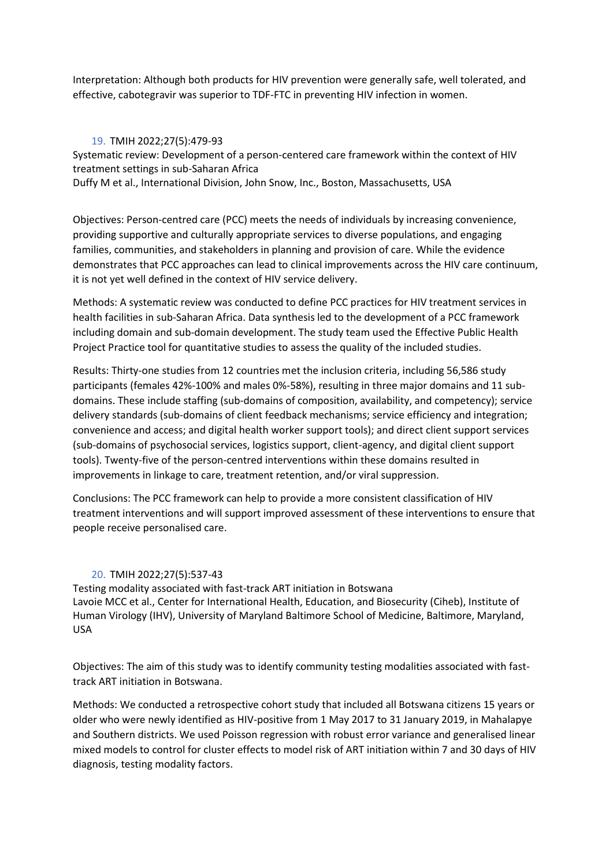Interpretation: Although both products for HIV prevention were generally safe, well tolerated, and effective, cabotegravir was superior to TDF-FTC in preventing HIV infection in women.

# 19. TMIH 2022;27(5):479-93

<span id="page-16-0"></span>Systematic review: Development of a person-centered care framework within the context of HIV treatment settings in sub-Saharan Africa Duffy M et al., International Division, John Snow, Inc., Boston, Massachusetts, USA

Objectives: Person-centred care (PCC) meets the needs of individuals by increasing convenience, providing supportive and culturally appropriate services to diverse populations, and engaging families, communities, and stakeholders in planning and provision of care. While the evidence demonstrates that PCC approaches can lead to clinical improvements across the HIV care continuum, it is not yet well defined in the context of HIV service delivery.

Methods: A systematic review was conducted to define PCC practices for HIV treatment services in health facilities in sub-Saharan Africa. Data synthesis led to the development of a PCC framework including domain and sub-domain development. The study team used the Effective Public Health Project Practice tool for quantitative studies to assess the quality of the included studies.

Results: Thirty-one studies from 12 countries met the inclusion criteria, including 56,586 study participants (females 42%-100% and males 0%-58%), resulting in three major domains and 11 subdomains. These include staffing (sub-domains of composition, availability, and competency); service delivery standards (sub-domains of client feedback mechanisms; service efficiency and integration; convenience and access; and digital health worker support tools); and direct client support services (sub-domains of psychosocial services, logistics support, client-agency, and digital client support tools). Twenty-five of the person-centred interventions within these domains resulted in improvements in linkage to care, treatment retention, and/or viral suppression.

Conclusions: The PCC framework can help to provide a more consistent classification of HIV treatment interventions and will support improved assessment of these interventions to ensure that people receive personalised care.

# 20. TMIH 2022;27(5):537-43

<span id="page-16-1"></span>Testing modality associated with fast-track ART initiation in Botswana Lavoie MCC et al., Center for International Health, Education, and Biosecurity (Ciheb), Institute of Human Virology (IHV), University of Maryland Baltimore School of Medicine, Baltimore, Maryland, USA

Objectives: The aim of this study was to identify community testing modalities associated with fasttrack ART initiation in Botswana.

Methods: We conducted a retrospective cohort study that included all Botswana citizens 15 years or older who were newly identified as HIV-positive from 1 May 2017 to 31 January 2019, in Mahalapye and Southern districts. We used Poisson regression with robust error variance and generalised linear mixed models to control for cluster effects to model risk of ART initiation within 7 and 30 days of HIV diagnosis, testing modality factors.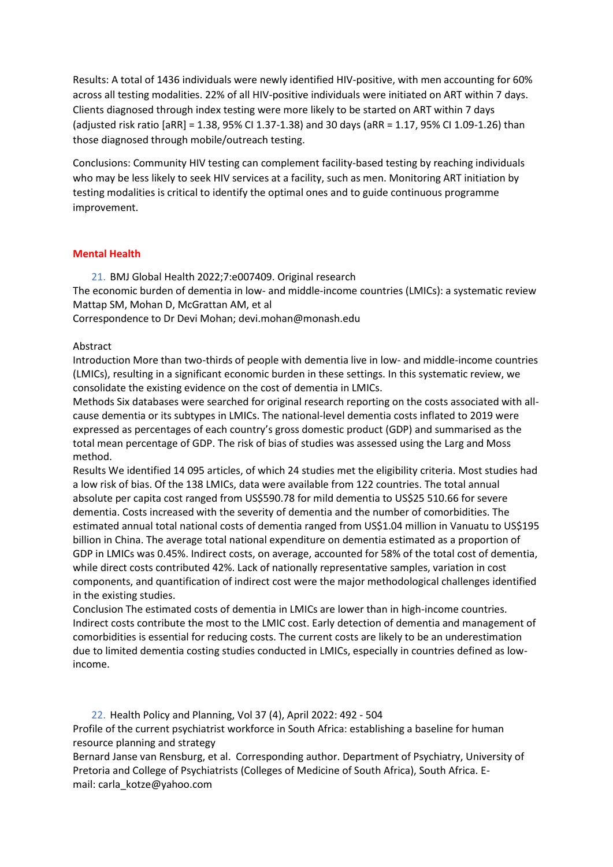Results: A total of 1436 individuals were newly identified HIV-positive, with men accounting for 60% across all testing modalities. 22% of all HIV-positive individuals were initiated on ART within 7 days. Clients diagnosed through index testing were more likely to be started on ART within 7 days (adjusted risk ratio [aRR] = 1.38, 95% CI 1.37-1.38) and 30 days (aRR = 1.17, 95% CI 1.09-1.26) than those diagnosed through mobile/outreach testing.

Conclusions: Community HIV testing can complement facility-based testing by reaching individuals who may be less likely to seek HIV services at a facility, such as men. Monitoring ART initiation by testing modalities is critical to identify the optimal ones and to guide continuous programme improvement.

# **Mental Health**

21. BMJ Global Health 2022;7:e007409. Original research

<span id="page-17-0"></span>The economic burden of dementia in low- and middle-income countries (LMICs): a systematic review Mattap SM, Mohan D, McGrattan AM, et al

Correspondence to Dr Devi Mohan; devi.mohan@monash.edu

# Abstract

Introduction More than two-thirds of people with dementia live in low- and middle-income countries (LMICs), resulting in a significant economic burden in these settings. In this systematic review, we consolidate the existing evidence on the cost of dementia in LMICs.

Methods Six databases were searched for original research reporting on the costs associated with allcause dementia or its subtypes in LMICs. The national-level dementia costs inflated to 2019 were expressed as percentages of each country's gross domestic product (GDP) and summarised as the total mean percentage of GDP. The risk of bias of studies was assessed using the Larg and Moss method.

Results We identified 14 095 articles, of which 24 studies met the eligibility criteria. Most studies had a low risk of bias. Of the 138 LMICs, data were available from 122 countries. The total annual absolute per capita cost ranged from US\$590.78 for mild dementia to US\$25 510.66 for severe dementia. Costs increased with the severity of dementia and the number of comorbidities. The estimated annual total national costs of dementia ranged from US\$1.04 million in Vanuatu to US\$195 billion in China. The average total national expenditure on dementia estimated as a proportion of GDP in LMICs was 0.45%. Indirect costs, on average, accounted for 58% of the total cost of dementia, while direct costs contributed 42%. Lack of nationally representative samples, variation in cost components, and quantification of indirect cost were the major methodological challenges identified in the existing studies.

Conclusion The estimated costs of dementia in LMICs are lower than in high-income countries. Indirect costs contribute the most to the LMIC cost. Early detection of dementia and management of comorbidities is essential for reducing costs. The current costs are likely to be an underestimation due to limited dementia costing studies conducted in LMICs, especially in countries defined as lowincome.

<span id="page-17-1"></span>22. Health Policy and Planning, Vol 37 (4), April 2022: 492 - 504

Profile of the current psychiatrist workforce in South Africa: establishing a baseline for human resource planning and strategy

[Bernard Janse van Rensburg,](javascript:;) et al. Corresponding author. Department of Psychiatry, University of Pretoria and College of Psychiatrists (Colleges of Medicine of South Africa), South Africa. Email: [carla\\_kotze@yahoo.com](mailto:carla_kotze@yahoo.com)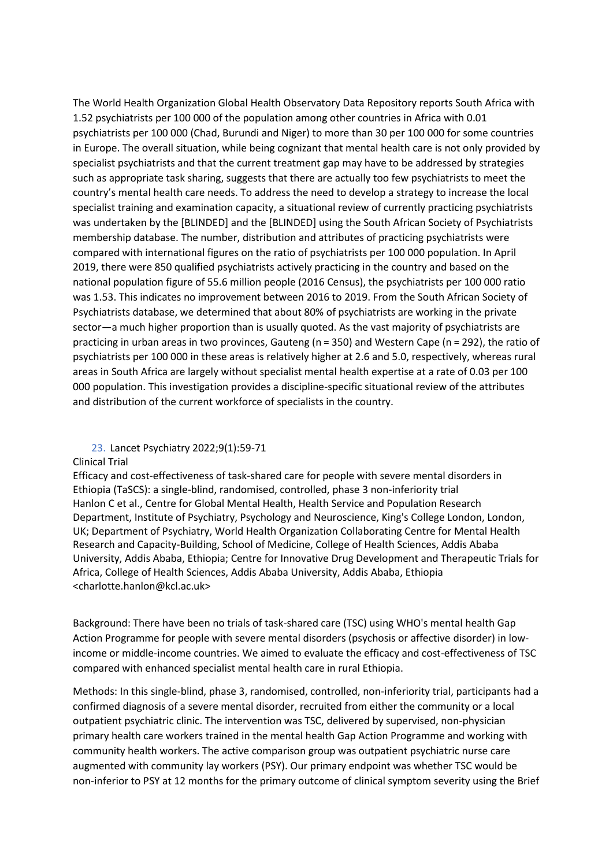The World Health Organization Global Health Observatory Data Repository reports South Africa with 1.52 psychiatrists per 100 000 of the population among other countries in Africa with 0.01 psychiatrists per 100 000 (Chad, Burundi and Niger) to more than 30 per 100 000 for some countries in Europe. The overall situation, while being cognizant that mental health care is not only provided by specialist psychiatrists and that the current treatment gap may have to be addressed by strategies such as appropriate task sharing, suggests that there are actually too few psychiatrists to meet the country's mental health care needs. To address the need to develop a strategy to increase the local specialist training and examination capacity, a situational review of currently practicing psychiatrists was undertaken by the [BLINDED] and the [BLINDED] using the South African Society of Psychiatrists membership database. The number, distribution and attributes of practicing psychiatrists were compared with international figures on the ratio of psychiatrists per 100 000 population. In April 2019, there were 850 qualified psychiatrists actively practicing in the country and based on the national population figure of 55.6 million people (2016 Census), the psychiatrists per 100 000 ratio was 1.53. This indicates no improvement between 2016 to 2019. From the South African Society of Psychiatrists database, we determined that about 80% of psychiatrists are working in the private sector—a much higher proportion than is usually quoted. As the vast majority of psychiatrists are practicing in urban areas in two provinces, Gauteng (n = 350) and Western Cape (n = 292), the ratio of psychiatrists per 100 000 in these areas is relatively higher at 2.6 and 5.0, respectively, whereas rural areas in South Africa are largely without specialist mental health expertise at a rate of 0.03 per 100 000 population. This investigation provides a discipline-specific situational review of the attributes and distribution of the current workforce of specialists in the country.

# 23. Lancet Psychiatry 2022;9(1):59-71

# <span id="page-18-0"></span>Clinical Trial

Efficacy and cost-effectiveness of task-shared care for people with severe mental disorders in Ethiopia (TaSCS): a single-blind, randomised, controlled, phase 3 non-inferiority trial Hanlon C et al., Centre for Global Mental Health, Health Service and Population Research Department, Institute of Psychiatry, Psychology and Neuroscience, King's College London, London, UK; Department of Psychiatry, World Health Organization Collaborating Centre for Mental Health Research and Capacity-Building, School of Medicine, College of Health Sciences, Addis Ababa University, Addis Ababa, Ethiopia; Centre for Innovative Drug Development and Therapeutic Trials for Africa, College of Health Sciences, Addis Ababa University, Addis Ababa, Ethiopia [<charlotte.hanlon@kcl.ac.uk>](mailto:charlotte.hanlon@kcl.ac.uk)

Background: There have been no trials of task-shared care (TSC) using WHO's mental health Gap Action Programme for people with severe mental disorders (psychosis or affective disorder) in lowincome or middle-income countries. We aimed to evaluate the efficacy and cost-effectiveness of TSC compared with enhanced specialist mental health care in rural Ethiopia.

Methods: In this single-blind, phase 3, randomised, controlled, non-inferiority trial, participants had a confirmed diagnosis of a severe mental disorder, recruited from either the community or a local outpatient psychiatric clinic. The intervention was TSC, delivered by supervised, non-physician primary health care workers trained in the mental health Gap Action Programme and working with community health workers. The active comparison group was outpatient psychiatric nurse care augmented with community lay workers (PSY). Our primary endpoint was whether TSC would be non-inferior to PSY at 12 months for the primary outcome of clinical symptom severity using the Brief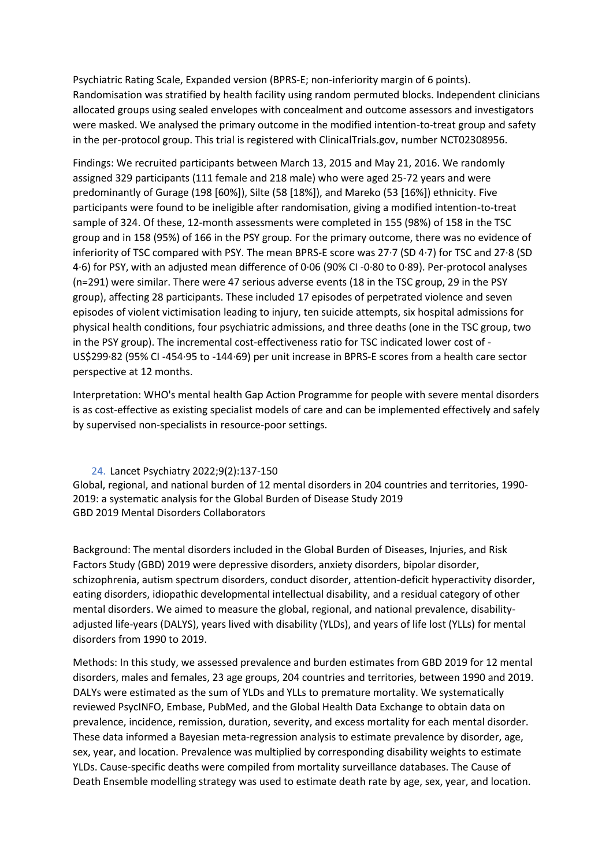Psychiatric Rating Scale, Expanded version (BPRS-E; non-inferiority margin of 6 points). Randomisation was stratified by health facility using random permuted blocks. Independent clinicians allocated groups using sealed envelopes with concealment and outcome assessors and investigators were masked. We analysed the primary outcome in the modified intention-to-treat group and safety in the per-protocol group. This trial is registered with ClinicalTrials.gov, number NCT02308956.

Findings: We recruited participants between March 13, 2015 and May 21, 2016. We randomly assigned 329 participants (111 female and 218 male) who were aged 25-72 years and were predominantly of Gurage (198 [60%]), Silte (58 [18%]), and Mareko (53 [16%]) ethnicity. Five participants were found to be ineligible after randomisation, giving a modified intention-to-treat sample of 324. Of these, 12-month assessments were completed in 155 (98%) of 158 in the TSC group and in 158 (95%) of 166 in the PSY group. For the primary outcome, there was no evidence of inferiority of TSC compared with PSY. The mean BPRS-E score was 27·7 (SD 4·7) for TSC and 27·8 (SD 4·6) for PSY, with an adjusted mean difference of 0·06 (90% CI -0·80 to 0·89). Per-protocol analyses (n=291) were similar. There were 47 serious adverse events (18 in the TSC group, 29 in the PSY group), affecting 28 participants. These included 17 episodes of perpetrated violence and seven episodes of violent victimisation leading to injury, ten suicide attempts, six hospital admissions for physical health conditions, four psychiatric admissions, and three deaths (one in the TSC group, two in the PSY group). The incremental cost-effectiveness ratio for TSC indicated lower cost of - US\$299·82 (95% CI -454·95 to -144·69) per unit increase in BPRS-E scores from a health care sector perspective at 12 months.

Interpretation: WHO's mental health Gap Action Programme for people with severe mental disorders is as cost-effective as existing specialist models of care and can be implemented effectively and safely by supervised non-specialists in resource-poor settings.

# <span id="page-19-0"></span>24. Lancet Psychiatry 2022;9(2):137-150

Global, regional, and national burden of 12 mental disorders in 204 countries and territories, 1990- 2019: a systematic analysis for the Global Burden of Disease Study 2019 GBD 2019 Mental Disorders Collaborators

Background: The mental disorders included in the Global Burden of Diseases, Injuries, and Risk Factors Study (GBD) 2019 were depressive disorders, anxiety disorders, bipolar disorder, schizophrenia, autism spectrum disorders, conduct disorder, attention-deficit hyperactivity disorder, eating disorders, idiopathic developmental intellectual disability, and a residual category of other mental disorders. We aimed to measure the global, regional, and national prevalence, disabilityadjusted life-years (DALYS), years lived with disability (YLDs), and years of life lost (YLLs) for mental disorders from 1990 to 2019.

Methods: In this study, we assessed prevalence and burden estimates from GBD 2019 for 12 mental disorders, males and females, 23 age groups, 204 countries and territories, between 1990 and 2019. DALYs were estimated as the sum of YLDs and YLLs to premature mortality. We systematically reviewed PsycINFO, Embase, PubMed, and the Global Health Data Exchange to obtain data on prevalence, incidence, remission, duration, severity, and excess mortality for each mental disorder. These data informed a Bayesian meta-regression analysis to estimate prevalence by disorder, age, sex, year, and location. Prevalence was multiplied by corresponding disability weights to estimate YLDs. Cause-specific deaths were compiled from mortality surveillance databases. The Cause of Death Ensemble modelling strategy was used to estimate death rate by age, sex, year, and location.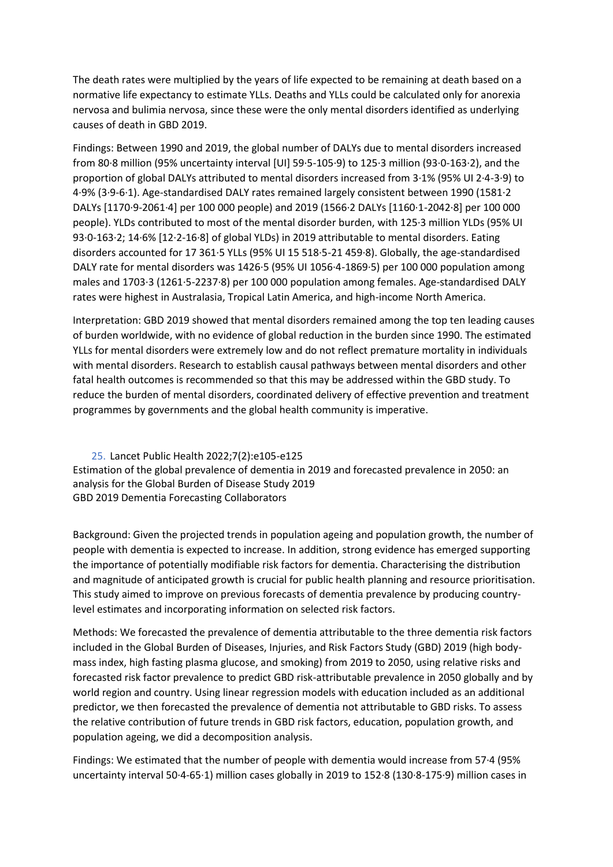The death rates were multiplied by the years of life expected to be remaining at death based on a normative life expectancy to estimate YLLs. Deaths and YLLs could be calculated only for anorexia nervosa and bulimia nervosa, since these were the only mental disorders identified as underlying causes of death in GBD 2019.

Findings: Between 1990 and 2019, the global number of DALYs due to mental disorders increased from 80·8 million (95% uncertainty interval [UI] 59·5-105·9) to 125·3 million (93·0-163·2), and the proportion of global DALYs attributed to mental disorders increased from 3·1% (95% UI 2·4-3·9) to 4·9% (3·9-6·1). Age-standardised DALY rates remained largely consistent between 1990 (1581·2 DALYs [1170·9-2061·4] per 100 000 people) and 2019 (1566·2 DALYs [1160·1-2042·8] per 100 000 people). YLDs contributed to most of the mental disorder burden, with 125·3 million YLDs (95% UI 93·0-163·2; 14·6% [12·2-16·8] of global YLDs) in 2019 attributable to mental disorders. Eating disorders accounted for 17 361·5 YLLs (95% UI 15 518·5-21 459·8). Globally, the age-standardised DALY rate for mental disorders was 1426·5 (95% UI 1056·4-1869·5) per 100 000 population among males and 1703·3 (1261·5-2237·8) per 100 000 population among females. Age-standardised DALY rates were highest in Australasia, Tropical Latin America, and high-income North America.

Interpretation: GBD 2019 showed that mental disorders remained among the top ten leading causes of burden worldwide, with no evidence of global reduction in the burden since 1990. The estimated YLLs for mental disorders were extremely low and do not reflect premature mortality in individuals with mental disorders. Research to establish causal pathways between mental disorders and other fatal health outcomes is recommended so that this may be addressed within the GBD study. To reduce the burden of mental disorders, coordinated delivery of effective prevention and treatment programmes by governments and the global health community is imperative.

<span id="page-20-0"></span>25. Lancet Public Health 2022;7(2):e105-e125 Estimation of the global prevalence of dementia in 2019 and forecasted prevalence in 2050: an analysis for the Global Burden of Disease Study 2019 GBD 2019 Dementia Forecasting Collaborators

Background: Given the projected trends in population ageing and population growth, the number of people with dementia is expected to increase. In addition, strong evidence has emerged supporting the importance of potentially modifiable risk factors for dementia. Characterising the distribution and magnitude of anticipated growth is crucial for public health planning and resource prioritisation. This study aimed to improve on previous forecasts of dementia prevalence by producing countrylevel estimates and incorporating information on selected risk factors.

Methods: We forecasted the prevalence of dementia attributable to the three dementia risk factors included in the Global Burden of Diseases, Injuries, and Risk Factors Study (GBD) 2019 (high bodymass index, high fasting plasma glucose, and smoking) from 2019 to 2050, using relative risks and forecasted risk factor prevalence to predict GBD risk-attributable prevalence in 2050 globally and by world region and country. Using linear regression models with education included as an additional predictor, we then forecasted the prevalence of dementia not attributable to GBD risks. To assess the relative contribution of future trends in GBD risk factors, education, population growth, and population ageing, we did a decomposition analysis.

Findings: We estimated that the number of people with dementia would increase from 57·4 (95% uncertainty interval 50·4-65·1) million cases globally in 2019 to 152·8 (130·8-175·9) million cases in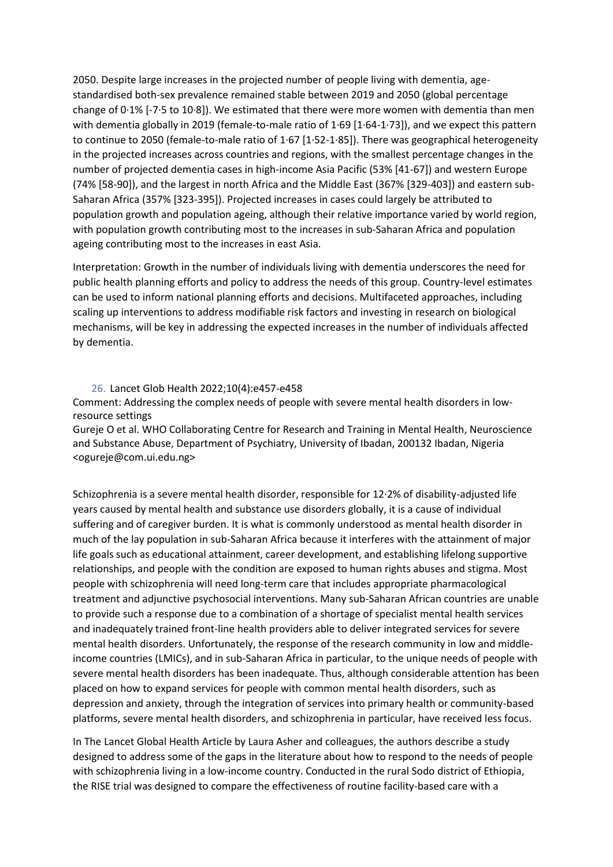2050. Despite large increases in the projected number of people living with dementia, agestandardised both-sex prevalence remained stable between 2019 and 2050 (global percentage change of 0·1% [-7·5 to 10·8]). We estimated that there were more women with dementia than men with dementia globally in 2019 (female-to-male ratio of 1·69 [1·64-1·73]), and we expect this pattern to continue to 2050 (female-to-male ratio of 1·67 [1·52-1·85]). There was geographical heterogeneity in the projected increases across countries and regions, with the smallest percentage changes in the number of projected dementia cases in high-income Asia Pacific (53% [41-67]) and western Europe (74% [58-90]), and the largest in north Africa and the Middle East (367% [329-403]) and eastern sub-Saharan Africa (357% [323-395]). Projected increases in cases could largely be attributed to population growth and population ageing, although their relative importance varied by world region, with population growth contributing most to the increases in sub-Saharan Africa and population ageing contributing most to the increases in east Asia.

Interpretation: Growth in the number of individuals living with dementia underscores the need for public health planning efforts and policy to address the needs of this group. Country-level estimates can be used to inform national planning efforts and decisions. Multifaceted approaches, including scaling up interventions to address modifiable risk factors and investing in research on biological mechanisms, will be key in addressing the expected increases in the number of individuals affected by dementia.

### 26. Lancet Glob Health 2022;10(4):e457-e458

<span id="page-21-0"></span>Comment: Addressing the complex needs of people with severe mental health disorders in lowresource settings

Gureje O et al. WHO Collaborating Centre for Research and Training in Mental Health, Neuroscience and Substance Abuse, Department of Psychiatry, University of Ibadan, 200132 Ibadan, Nigeria <ogureje@com.ui.edu.ng>

Schizophrenia is a severe mental health disorder, responsible for 12·2% of disability-adjusted life years caused by mental health and substance use disorders globally, it is a cause of individual suffering and of caregiver burden. It is what is commonly understood as mental health disorder in much of the lay population in sub-Saharan Africa because it interferes with the attainment of major life goals such as educational attainment, career development, and establishing lifelong supportive relationships, and people with the condition are exposed to human rights abuses and stigma. Most people with schizophrenia will need long-term care that includes appropriate pharmacological treatment and adjunctive psychosocial interventions. Many sub-Saharan African countries are unable to provide such a response due to a combination of a shortage of specialist mental health services and inadequately trained front-line health providers able to deliver integrated services for severe mental health disorders. Unfortunately, the response of the research community in low and middleincome countries (LMICs), and in sub-Saharan Africa in particular, to the unique needs of people with severe mental health disorders has been inadequate. Thus, although considerable attention has been placed on how to expand services for people with common mental health disorders, such as depression and anxiety, through the integration of services into primary health or community-based platforms, severe mental health disorders, and schizophrenia in particular, have received less focus.

In The Lancet Global Health Article by Laura Asher and colleagues, the authors describe a study designed to address some of the gaps in the literature about how to respond to the needs of people with schizophrenia living in a low-income country. Conducted in the rural Sodo district of Ethiopia, the RISE trial was designed to compare the effectiveness of routine facility-based care with a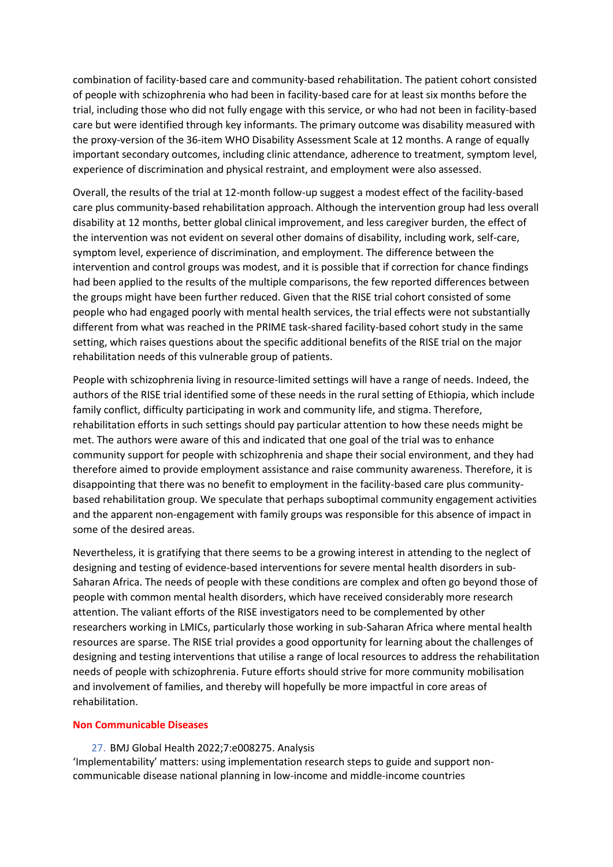combination of facility-based care and community-based rehabilitation. The patient cohort consisted of people with schizophrenia who had been in facility-based care for at least six months before the trial, including those who did not fully engage with this service, or who had not been in facility-based care but were identified through key informants. The primary outcome was disability measured with the proxy-version of the 36-item WHO Disability Assessment Scale at 12 months. A range of equally important secondary outcomes, including clinic attendance, adherence to treatment, symptom level, experience of discrimination and physical restraint, and employment were also assessed.

Overall, the results of the trial at 12-month follow-up suggest a modest effect of the facility-based care plus community-based rehabilitation approach. Although the intervention group had less overall disability at 12 months, better global clinical improvement, and less caregiver burden, the effect of the intervention was not evident on several other domains of disability, including work, self-care, symptom level, experience of discrimination, and employment. The difference between the intervention and control groups was modest, and it is possible that if correction for chance findings had been applied to the results of the multiple comparisons, the few reported differences between the groups might have been further reduced. Given that the RISE trial cohort consisted of some people who had engaged poorly with mental health services, the trial effects were not substantially different from what was reached in the PRIME task-shared facility-based cohort study in the same setting, which raises questions about the specific additional benefits of the RISE trial on the major rehabilitation needs of this vulnerable group of patients.

People with schizophrenia living in resource-limited settings will have a range of needs. Indeed, the authors of the RISE trial identified some of these needs in the rural setting of Ethiopia, which include family conflict, difficulty participating in work and community life, and stigma. Therefore, rehabilitation efforts in such settings should pay particular attention to how these needs might be met. The authors were aware of this and indicated that one goal of the trial was to enhance community support for people with schizophrenia and shape their social environment, and they had therefore aimed to provide employment assistance and raise community awareness. Therefore, it is disappointing that there was no benefit to employment in the facility-based care plus communitybased rehabilitation group. We speculate that perhaps suboptimal community engagement activities and the apparent non-engagement with family groups was responsible for this absence of impact in some of the desired areas.

Nevertheless, it is gratifying that there seems to be a growing interest in attending to the neglect of designing and testing of evidence-based interventions for severe mental health disorders in sub-Saharan Africa. The needs of people with these conditions are complex and often go beyond those of people with common mental health disorders, which have received considerably more research attention. The valiant efforts of the RISE investigators need to be complemented by other researchers working in LMICs, particularly those working in sub-Saharan Africa where mental health resources are sparse. The RISE trial provides a good opportunity for learning about the challenges of designing and testing interventions that utilise a range of local resources to address the rehabilitation needs of people with schizophrenia. Future efforts should strive for more community mobilisation and involvement of families, and thereby will hopefully be more impactful in core areas of rehabilitation.

### **Non Communicable Diseases**

27. BMJ Global Health 2022;7:e008275. Analysis

<span id="page-22-0"></span>'Implementability' matters: using implementation research steps to guide and support noncommunicable disease national planning in low-income and middle-income countries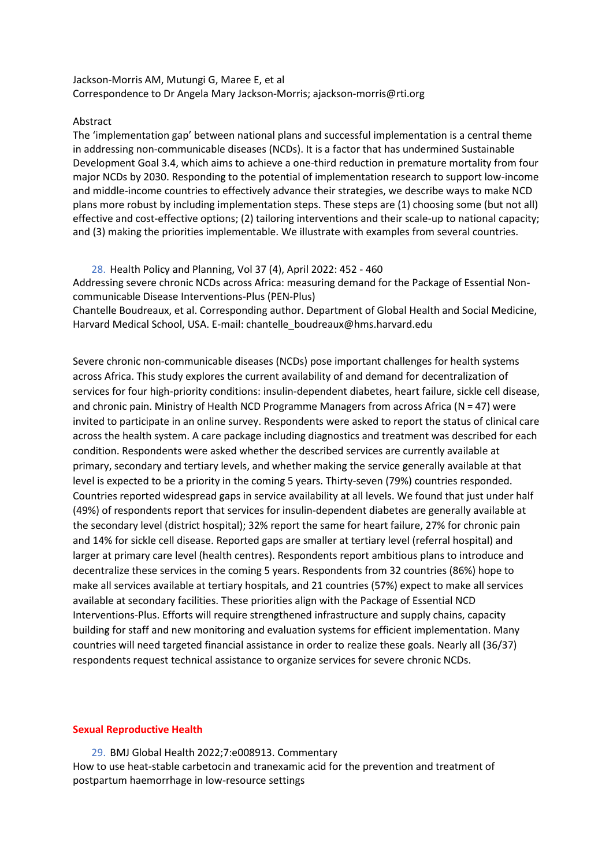# Jackson-Morris AM, Mutungi G, Maree E, et al Correspondence to Dr Angela Mary Jackson-Morris; ajackson-morris@rti.org

### Abstract

The 'implementation gap' between national plans and successful implementation is a central theme in addressing non-communicable diseases (NCDs). It is a factor that has undermined Sustainable Development Goal 3.4, which aims to achieve a one-third reduction in premature mortality from four major NCDs by 2030. Responding to the potential of implementation research to support low-income and middle-income countries to effectively advance their strategies, we describe ways to make NCD plans more robust by including implementation steps. These steps are (1) choosing some (but not all) effective and cost-effective options; (2) tailoring interventions and their scale-up to national capacity; and (3) making the priorities implementable. We illustrate with examples from several countries.

<span id="page-23-0"></span>28. Health Policy and Planning, Vol 37 (4), April 2022: 452 - 460

Addressing severe chronic NCDs across Africa: measuring demand for the Package of Essential Noncommunicable Disease Interventions-Plus (PEN-Plus)

[Chantelle Boudreaux,](javascript:;) et al. Corresponding author. Department of Global Health and Social Medicine, Harvard Medical School, USA. E-mail: [chantelle\\_boudreaux@hms.harvard.edu](mailto:chantelle_boudreaux@hms.harvard.edu)

Severe chronic non-communicable diseases (NCDs) pose important challenges for health systems across Africa. This study explores the current availability of and demand for decentralization of services for four high-priority conditions: insulin-dependent diabetes, heart failure, sickle cell disease, and chronic pain. Ministry of Health NCD Programme Managers from across Africa ( $N = 47$ ) were invited to participate in an online survey. Respondents were asked to report the status of clinical care across the health system. A care package including diagnostics and treatment was described for each condition. Respondents were asked whether the described services are currently available at primary, secondary and tertiary levels, and whether making the service generally available at that level is expected to be a priority in the coming 5 years. Thirty-seven (79%) countries responded. Countries reported widespread gaps in service availability at all levels. We found that just under half (49%) of respondents report that services for insulin-dependent diabetes are generally available at the secondary level (district hospital); 32% report the same for heart failure, 27% for chronic pain and 14% for sickle cell disease. Reported gaps are smaller at tertiary level (referral hospital) and larger at primary care level (health centres). Respondents report ambitious plans to introduce and decentralize these services in the coming 5 years. Respondents from 32 countries (86%) hope to make all services available at tertiary hospitals, and 21 countries (57%) expect to make all services available at secondary facilities. These priorities align with the Package of Essential NCD Interventions-Plus. Efforts will require strengthened infrastructure and supply chains, capacity building for staff and new monitoring and evaluation systems for efficient implementation. Many countries will need targeted financial assistance in order to realize these goals. Nearly all (36/37) respondents request technical assistance to organize services for severe chronic NCDs.

### **Sexual Reproductive Health**

<span id="page-23-1"></span>29. BMJ Global Health 2022;7:e008913. Commentary How to use heat-stable carbetocin and tranexamic acid for the prevention and treatment of postpartum haemorrhage in low-resource settings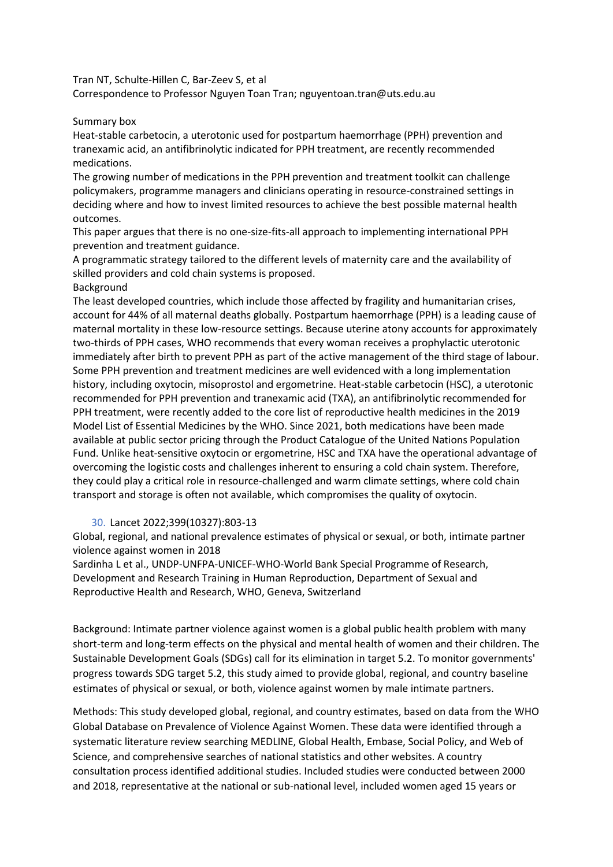Tran NT, Schulte-Hillen C, Bar-Zeev S, et al

Correspondence to Professor Nguyen Toan Tran; nguyentoan.tran@uts.edu.au

### Summary box

Heat-stable carbetocin, a uterotonic used for postpartum haemorrhage (PPH) prevention and tranexamic acid, an antifibrinolytic indicated for PPH treatment, are recently recommended medications.

The growing number of medications in the PPH prevention and treatment toolkit can challenge policymakers, programme managers and clinicians operating in resource-constrained settings in deciding where and how to invest limited resources to achieve the best possible maternal health outcomes.

This paper argues that there is no one-size-fits-all approach to implementing international PPH prevention and treatment guidance.

A programmatic strategy tailored to the different levels of maternity care and the availability of skilled providers and cold chain systems is proposed.

### Background

The least developed countries, which include those affected by fragility and humanitarian crises, account for 44% of all maternal deaths globally. Postpartum haemorrhage (PPH) is a leading cause of maternal mortality in these low-resource settings. Because uterine atony accounts for approximately two-thirds of PPH cases, WHO recommends that every woman receives a prophylactic uterotonic immediately after birth to prevent PPH as part of the active management of the third stage of labour. Some PPH prevention and treatment medicines are well evidenced with a long implementation history, including oxytocin, misoprostol and ergometrine. Heat-stable carbetocin (HSC), a uterotonic recommended for PPH prevention and tranexamic acid (TXA), an antifibrinolytic recommended for PPH treatment, were recently added to the core list of reproductive health medicines in the 2019 Model List of Essential Medicines by the WHO. Since 2021, both medications have been made available at public sector pricing through the Product Catalogue of the United Nations Population Fund. Unlike heat-sensitive oxytocin or ergometrine, HSC and TXA have the operational advantage of overcoming the logistic costs and challenges inherent to ensuring a cold chain system. Therefore, they could play a critical role in resource-challenged and warm climate settings, where cold chain transport and storage is often not available, which compromises the quality of oxytocin.

# 30. Lancet 2022;399(10327):803-13

<span id="page-24-0"></span>Global, regional, and national prevalence estimates of physical or sexual, or both, intimate partner violence against women in 2018

Sardinha L et al., UNDP-UNFPA-UNICEF-WHO-World Bank Special Programme of Research, Development and Research Training in Human Reproduction, Department of Sexual and Reproductive Health and Research, WHO, Geneva, Switzerland

Background: Intimate partner violence against women is a global public health problem with many short-term and long-term effects on the physical and mental health of women and their children. The Sustainable Development Goals (SDGs) call for its elimination in target 5.2. To monitor governments' progress towards SDG target 5.2, this study aimed to provide global, regional, and country baseline estimates of physical or sexual, or both, violence against women by male intimate partners.

Methods: This study developed global, regional, and country estimates, based on data from the WHO Global Database on Prevalence of Violence Against Women. These data were identified through a systematic literature review searching MEDLINE, Global Health, Embase, Social Policy, and Web of Science, and comprehensive searches of national statistics and other websites. A country consultation process identified additional studies. Included studies were conducted between 2000 and 2018, representative at the national or sub-national level, included women aged 15 years or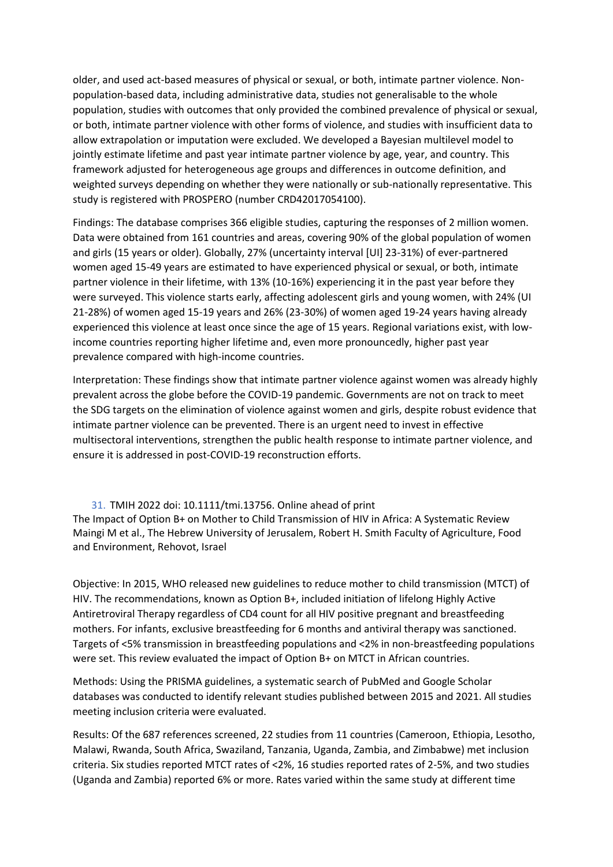older, and used act-based measures of physical or sexual, or both, intimate partner violence. Nonpopulation-based data, including administrative data, studies not generalisable to the whole population, studies with outcomes that only provided the combined prevalence of physical or sexual, or both, intimate partner violence with other forms of violence, and studies with insufficient data to allow extrapolation or imputation were excluded. We developed a Bayesian multilevel model to jointly estimate lifetime and past year intimate partner violence by age, year, and country. This framework adjusted for heterogeneous age groups and differences in outcome definition, and weighted surveys depending on whether they were nationally or sub-nationally representative. This study is registered with PROSPERO (number CRD42017054100).

Findings: The database comprises 366 eligible studies, capturing the responses of 2 million women. Data were obtained from 161 countries and areas, covering 90% of the global population of women and girls (15 years or older). Globally, 27% (uncertainty interval [UI] 23-31%) of ever-partnered women aged 15-49 years are estimated to have experienced physical or sexual, or both, intimate partner violence in their lifetime, with 13% (10-16%) experiencing it in the past year before they were surveyed. This violence starts early, affecting adolescent girls and young women, with 24% (UI 21-28%) of women aged 15-19 years and 26% (23-30%) of women aged 19-24 years having already experienced this violence at least once since the age of 15 years. Regional variations exist, with lowincome countries reporting higher lifetime and, even more pronouncedly, higher past year prevalence compared with high-income countries.

Interpretation: These findings show that intimate partner violence against women was already highly prevalent across the globe before the COVID-19 pandemic. Governments are not on track to meet the SDG targets on the elimination of violence against women and girls, despite robust evidence that intimate partner violence can be prevented. There is an urgent need to invest in effective multisectoral interventions, strengthen the public health response to intimate partner violence, and ensure it is addressed in post-COVID-19 reconstruction efforts.

<span id="page-25-0"></span>31. TMIH 2022 doi: 10.1111/tmi.13756. Online ahead of print The Impact of Option B+ on Mother to Child Transmission of HIV in Africa: A Systematic Review Maingi M et al., The Hebrew University of Jerusalem, Robert H. Smith Faculty of Agriculture, Food and Environment, Rehovot, Israel

Objective: In 2015, WHO released new guidelines to reduce mother to child transmission (MTCT) of HIV. The recommendations, known as Option B+, included initiation of lifelong Highly Active Antiretroviral Therapy regardless of CD4 count for all HIV positive pregnant and breastfeeding mothers. For infants, exclusive breastfeeding for 6 months and antiviral therapy was sanctioned. Targets of <5% transmission in breastfeeding populations and <2% in non-breastfeeding populations were set. This review evaluated the impact of Option B+ on MTCT in African countries.

Methods: Using the PRISMA guidelines, a systematic search of PubMed and Google Scholar databases was conducted to identify relevant studies published between 2015 and 2021. All studies meeting inclusion criteria were evaluated.

Results: Of the 687 references screened, 22 studies from 11 countries (Cameroon, Ethiopia, Lesotho, Malawi, Rwanda, South Africa, Swaziland, Tanzania, Uganda, Zambia, and Zimbabwe) met inclusion criteria. Six studies reported MTCT rates of <2%, 16 studies reported rates of 2-5%, and two studies (Uganda and Zambia) reported 6% or more. Rates varied within the same study at different time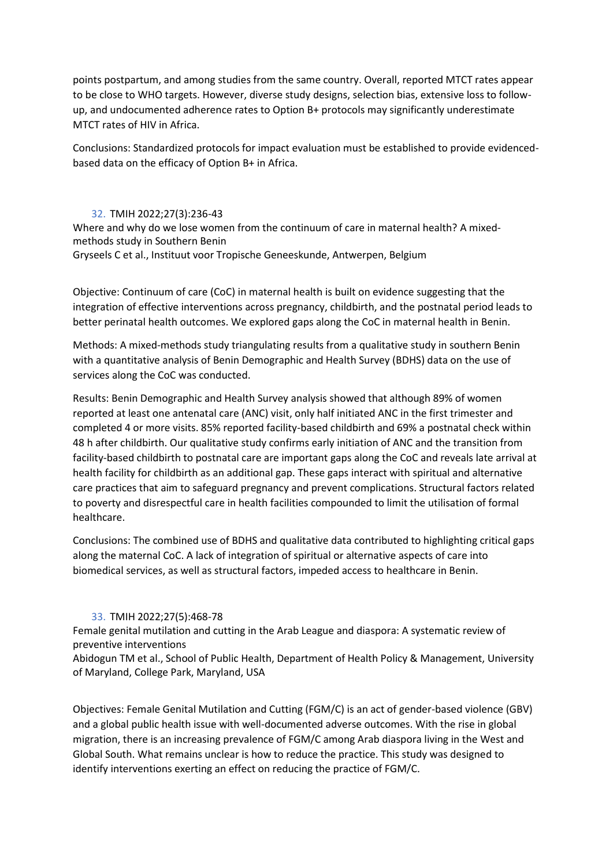points postpartum, and among studies from the same country. Overall, reported MTCT rates appear to be close to WHO targets. However, diverse study designs, selection bias, extensive loss to followup, and undocumented adherence rates to Option B+ protocols may significantly underestimate MTCT rates of HIV in Africa.

Conclusions: Standardized protocols for impact evaluation must be established to provide evidencedbased data on the efficacy of Option B+ in Africa.

### 32. TMIH 2022;27(3):236-43

<span id="page-26-0"></span>Where and why do we lose women from the continuum of care in maternal health? A mixedmethods study in Southern Benin Gryseels C et al., Instituut voor Tropische Geneeskunde, Antwerpen, Belgium

Objective: Continuum of care (CoC) in maternal health is built on evidence suggesting that the integration of effective interventions across pregnancy, childbirth, and the postnatal period leads to better perinatal health outcomes. We explored gaps along the CoC in maternal health in Benin.

Methods: A mixed-methods study triangulating results from a qualitative study in southern Benin with a quantitative analysis of Benin Demographic and Health Survey (BDHS) data on the use of services along the CoC was conducted.

Results: Benin Demographic and Health Survey analysis showed that although 89% of women reported at least one antenatal care (ANC) visit, only half initiated ANC in the first trimester and completed 4 or more visits. 85% reported facility-based childbirth and 69% a postnatal check within 48 h after childbirth. Our qualitative study confirms early initiation of ANC and the transition from facility-based childbirth to postnatal care are important gaps along the CoC and reveals late arrival at health facility for childbirth as an additional gap. These gaps interact with spiritual and alternative care practices that aim to safeguard pregnancy and prevent complications. Structural factors related to poverty and disrespectful care in health facilities compounded to limit the utilisation of formal healthcare.

Conclusions: The combined use of BDHS and qualitative data contributed to highlighting critical gaps along the maternal CoC. A lack of integration of spiritual or alternative aspects of care into biomedical services, as well as structural factors, impeded access to healthcare in Benin.

# 33. TMIH 2022;27(5):468-78

<span id="page-26-1"></span>Female genital mutilation and cutting in the Arab League and diaspora: A systematic review of preventive interventions

Abidogun TM et al., School of Public Health, Department of Health Policy & Management, University of Maryland, College Park, Maryland, USA

Objectives: Female Genital Mutilation and Cutting (FGM/C) is an act of gender-based violence (GBV) and a global public health issue with well-documented adverse outcomes. With the rise in global migration, there is an increasing prevalence of FGM/C among Arab diaspora living in the West and Global South. What remains unclear is how to reduce the practice. This study was designed to identify interventions exerting an effect on reducing the practice of FGM/C.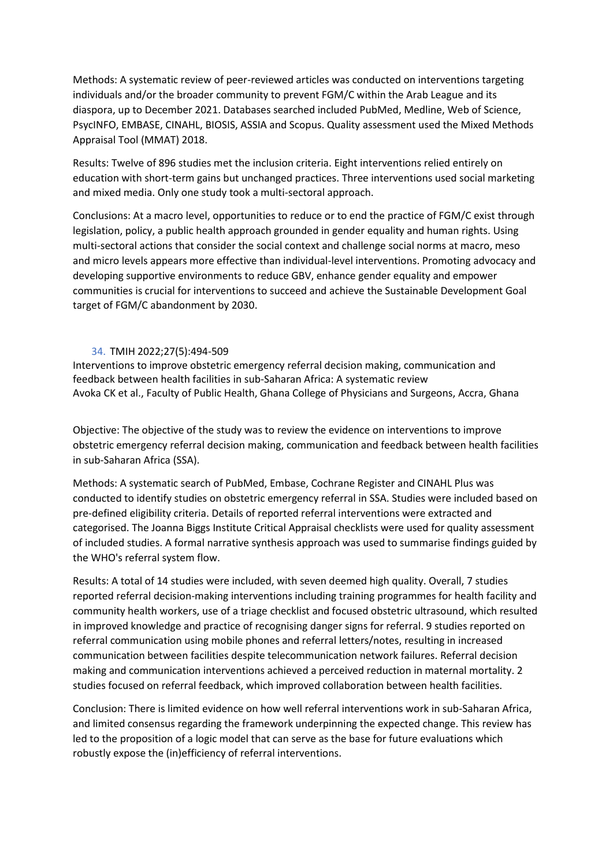Methods: A systematic review of peer-reviewed articles was conducted on interventions targeting individuals and/or the broader community to prevent FGM/C within the Arab League and its diaspora, up to December 2021. Databases searched included PubMed, Medline, Web of Science, PsycINFO, EMBASE, CINAHL, BIOSIS, ASSIA and Scopus. Quality assessment used the Mixed Methods Appraisal Tool (MMAT) 2018.

Results: Twelve of 896 studies met the inclusion criteria. Eight interventions relied entirely on education with short-term gains but unchanged practices. Three interventions used social marketing and mixed media. Only one study took a multi-sectoral approach.

Conclusions: At a macro level, opportunities to reduce or to end the practice of FGM/C exist through legislation, policy, a public health approach grounded in gender equality and human rights. Using multi-sectoral actions that consider the social context and challenge social norms at macro, meso and micro levels appears more effective than individual-level interventions. Promoting advocacy and developing supportive environments to reduce GBV, enhance gender equality and empower communities is crucial for interventions to succeed and achieve the Sustainable Development Goal target of FGM/C abandonment by 2030.

# 34. TMIH 2022;27(5):494-509

<span id="page-27-0"></span>Interventions to improve obstetric emergency referral decision making, communication and feedback between health facilities in sub-Saharan Africa: A systematic review Avoka CK et al., Faculty of Public Health, Ghana College of Physicians and Surgeons, Accra, Ghana

Objective: The objective of the study was to review the evidence on interventions to improve obstetric emergency referral decision making, communication and feedback between health facilities in sub-Saharan Africa (SSA).

Methods: A systematic search of PubMed, Embase, Cochrane Register and CINAHL Plus was conducted to identify studies on obstetric emergency referral in SSA. Studies were included based on pre-defined eligibility criteria. Details of reported referral interventions were extracted and categorised. The Joanna Biggs Institute Critical Appraisal checklists were used for quality assessment of included studies. A formal narrative synthesis approach was used to summarise findings guided by the WHO's referral system flow.

Results: A total of 14 studies were included, with seven deemed high quality. Overall, 7 studies reported referral decision-making interventions including training programmes for health facility and community health workers, use of a triage checklist and focused obstetric ultrasound, which resulted in improved knowledge and practice of recognising danger signs for referral. 9 studies reported on referral communication using mobile phones and referral letters/notes, resulting in increased communication between facilities despite telecommunication network failures. Referral decision making and communication interventions achieved a perceived reduction in maternal mortality. 2 studies focused on referral feedback, which improved collaboration between health facilities.

Conclusion: There is limited evidence on how well referral interventions work in sub-Saharan Africa, and limited consensus regarding the framework underpinning the expected change. This review has led to the proposition of a logic model that can serve as the base for future evaluations which robustly expose the (in)efficiency of referral interventions.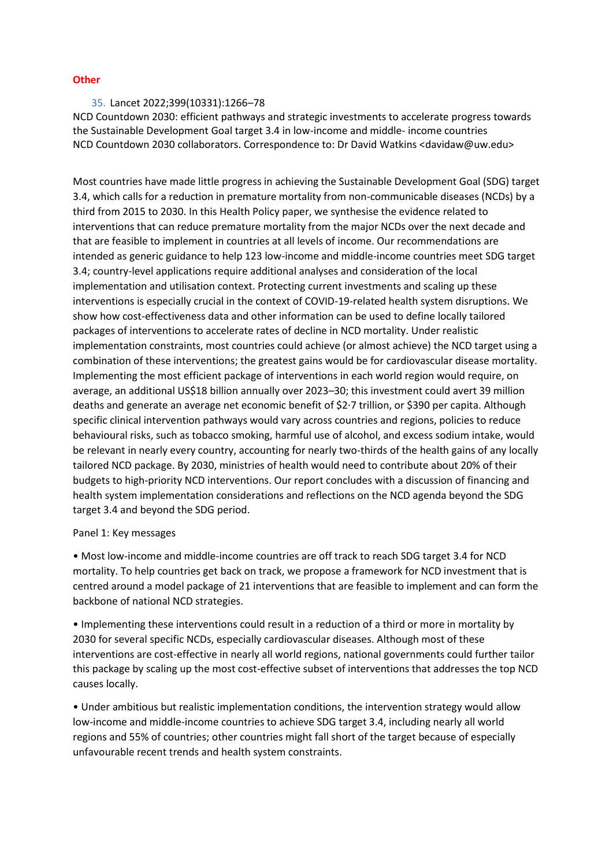### **Other**

### <span id="page-28-0"></span>35. Lancet 2022;399(10331):1266–78

NCD Countdown 2030: efficient pathways and strategic investments to accelerate progress towards the Sustainable Development Goal target 3.4 in low-income and middle- income countries NCD Countdown 2030 collaborators. Correspondence to: Dr David Watkins <davidaw@uw.edu>

Most countries have made little progress in achieving the Sustainable Development Goal (SDG) target 3.4, which calls for a reduction in premature mortality from non-communicable diseases (NCDs) by a third from 2015 to 2030. In this Health Policy paper, we synthesise the evidence related to interventions that can reduce premature mortality from the major NCDs over the next decade and that are feasible to implement in countries at all levels of income. Our recommendations are intended as generic guidance to help 123 low-income and middle-income countries meet SDG target 3.4; country-level applications require additional analyses and consideration of the local implementation and utilisation context. Protecting current investments and scaling up these interventions is especially crucial in the context of COVID-19-related health system disruptions. We show how cost-effectiveness data and other information can be used to define locally tailored packages of interventions to accelerate rates of decline in NCD mortality. Under realistic implementation constraints, most countries could achieve (or almost achieve) the NCD target using a combination of these interventions; the greatest gains would be for cardiovascular disease mortality. Implementing the most efficient package of interventions in each world region would require, on average, an additional US\$18 billion annually over 2023–30; this investment could avert 39 million deaths and generate an average net economic benefit of \$2·7 trillion, or \$390 per capita. Although specific clinical intervention pathways would vary across countries and regions, policies to reduce behavioural risks, such as tobacco smoking, harmful use of alcohol, and excess sodium intake, would be relevant in nearly every country, accounting for nearly two-thirds of the health gains of any locally tailored NCD package. By 2030, ministries of health would need to contribute about 20% of their budgets to high-priority NCD interventions. Our report concludes with a discussion of financing and health system implementation considerations and reflections on the NCD agenda beyond the SDG target 3.4 and beyond the SDG period.

### Panel 1: Key messages

• Most low-income and middle-income countries are off track to reach SDG target 3.4 for NCD mortality. To help countries get back on track, we propose a framework for NCD investment that is centred around a model package of 21 interventions that are feasible to implement and can form the backbone of national NCD strategies.

• Implementing these interventions could result in a reduction of a third or more in mortality by 2030 for several specific NCDs, especially cardiovascular diseases. Although most of these interventions are cost-effective in nearly all world regions, national governments could further tailor this package by scaling up the most cost-effective subset of interventions that addresses the top NCD causes locally.

• Under ambitious but realistic implementation conditions, the intervention strategy would allow low-income and middle-income countries to achieve SDG target 3.4, including nearly all world regions and 55% of countries; other countries might fall short of the target because of especially unfavourable recent trends and health system constraints.